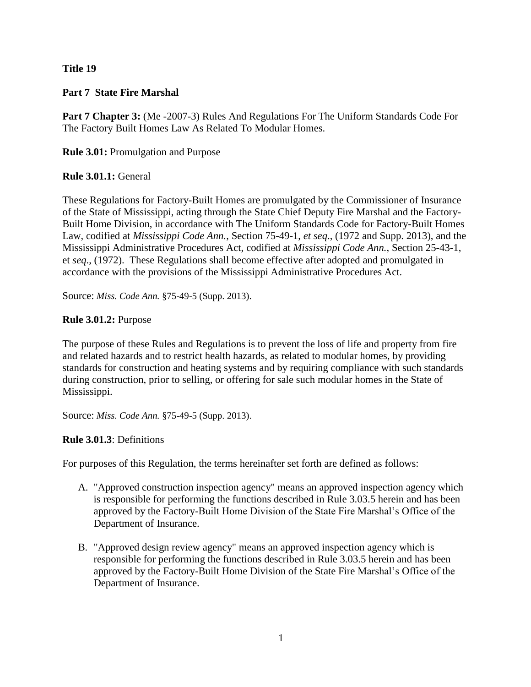# **Title 19**

# **Part 7 State Fire Marshal**

**Part 7 Chapter 3:** (Me -2007-3) Rules And Regulations For The Uniform Standards Code For The Factory Built Homes Law As Related To Modular Homes.

**Rule 3.01:** Promulgation and Purpose

# **Rule 3.01.1:** General

These Regulations for Factory-Built Homes are promulgated by the Commissioner of Insurance of the State of Mississippi, acting through the State Chief Deputy Fire Marshal and the Factory-Built Home Division, in accordance with The Uniform Standards Code for Factory-Built Homes Law, codified at *Mississippi Code Ann.*, Section 75-49-1, *et seq*., (1972 and Supp. 2013), and the Mississippi Administrative Procedures Act, codified at *Mississippi Code Ann.*, Section 25-43-1, et *seq*., (1972). These Regulations shall become effective after adopted and promulgated in accordance with the provisions of the Mississippi Administrative Procedures Act.

Source: *Miss. Code Ann.* §75-49-5 (Supp. 2013).

# **Rule 3.01.2:** Purpose

The purpose of these Rules and Regulations is to prevent the loss of life and property from fire and related hazards and to restrict health hazards, as related to modular homes, by providing standards for construction and heating systems and by requiring compliance with such standards during construction, prior to selling, or offering for sale such modular homes in the State of Mississippi.

Source: *Miss. Code Ann.* §75-49-5 (Supp. 2013).

# **Rule 3.01.3**: Definitions

For purposes of this Regulation, the terms hereinafter set forth are defined as follows:

- A. "Approved construction inspection agency" means an approved inspection agency which is responsible for performing the functions described in Rule 3.03.5 herein and has been approved by the Factory-Built Home Division of the State Fire Marshal's Office of the Department of Insurance.
- B. "Approved design review agency" means an approved inspection agency which is responsible for performing the functions described in Rule 3.03.5 herein and has been approved by the Factory-Built Home Division of the State Fire Marshal's Office of the Department of Insurance.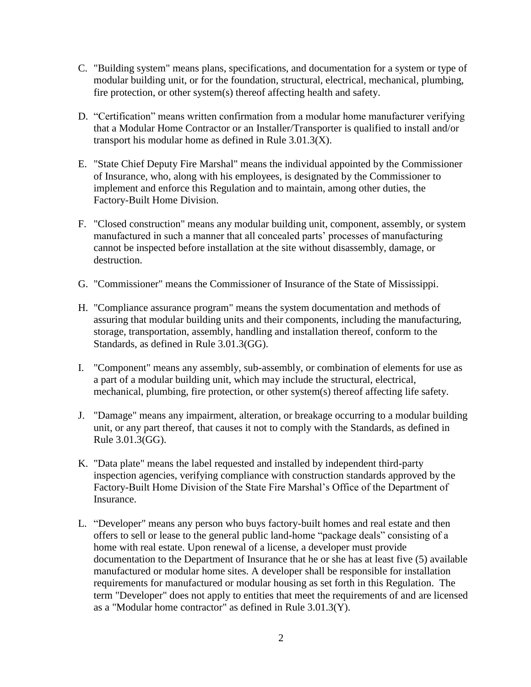- C. "Building system" means plans, specifications, and documentation for a system or type of modular building unit, or for the foundation, structural, electrical, mechanical, plumbing, fire protection, or other system(s) thereof affecting health and safety.
- D. "Certification" means written confirmation from a modular home manufacturer verifying that a Modular Home Contractor or an Installer/Transporter is qualified to install and/or transport his modular home as defined in Rule 3.01.3(X).
- E. "State Chief Deputy Fire Marshal" means the individual appointed by the Commissioner of Insurance, who, along with his employees, is designated by the Commissioner to implement and enforce this Regulation and to maintain, among other duties, the Factory-Built Home Division.
- F. "Closed construction" means any modular building unit, component, assembly, or system manufactured in such a manner that all concealed parts' processes of manufacturing cannot be inspected before installation at the site without disassembly, damage, or destruction.
- G. "Commissioner" means the Commissioner of Insurance of the State of Mississippi.
- H. "Compliance assurance program" means the system documentation and methods of assuring that modular building units and their components, including the manufacturing, storage, transportation, assembly, handling and installation thereof, conform to the Standards, as defined in Rule 3.01.3(GG).
- I. "Component" means any assembly, sub-assembly, or combination of elements for use as a part of a modular building unit, which may include the structural, electrical, mechanical, plumbing, fire protection, or other system(s) thereof affecting life safety.
- J. "Damage" means any impairment, alteration, or breakage occurring to a modular building unit, or any part thereof, that causes it not to comply with the Standards, as defined in Rule 3.01.3(GG).
- K. "Data plate" means the label requested and installed by independent third-party inspection agencies, verifying compliance with construction standards approved by the Factory-Built Home Division of the State Fire Marshal's Office of the Department of Insurance.
- L. "Developer" means any person who buys factory-built homes and real estate and then offers to sell or lease to the general public land-home "package deals" consisting of a home with real estate. Upon renewal of a license, a developer must provide documentation to the Department of Insurance that he or she has at least five (5) available manufactured or modular home sites. A developer shall be responsible for installation requirements for manufactured or modular housing as set forth in this Regulation. The term "Developer" does not apply to entities that meet the requirements of and are licensed as a "Modular home contractor" as defined in Rule 3.01.3(Y).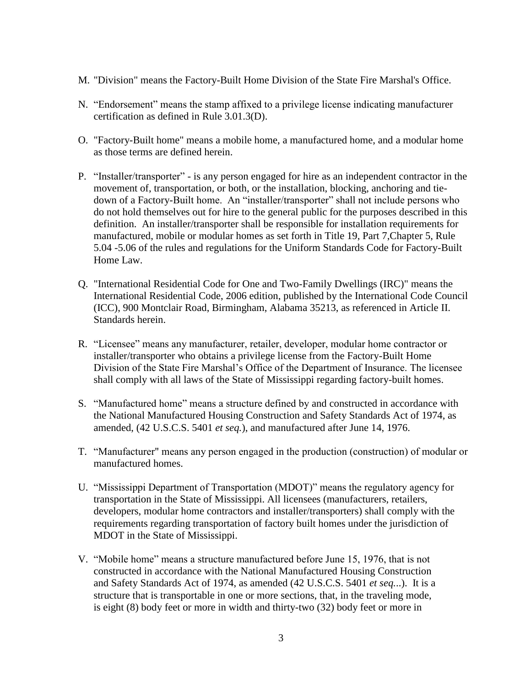- M. "Division" means the Factory-Built Home Division of the State Fire Marshal's Office.
- N. "Endorsement" means the stamp affixed to a privilege license indicating manufacturer certification as defined in Rule 3.01.3(D).
- O. "Factory-Built home" means a mobile home, a manufactured home, and a modular home as those terms are defined herein.
- P. "Installer/transporter" is any person engaged for hire as an independent contractor in the movement of, transportation, or both, or the installation, blocking, anchoring and tiedown of a Factory-Built home. An "installer/transporter" shall not include persons who do not hold themselves out for hire to the general public for the purposes described in this definition. An installer/transporter shall be responsible for installation requirements for manufactured, mobile or modular homes as set forth in Title 19, Part 7,Chapter 5, Rule 5.04 -5.06 of the rules and regulations for the Uniform Standards Code for Factory-Built Home Law.
- Q. "International Residential Code for One and Two-Family Dwellings (IRC)" means the International Residential Code, 2006 edition, published by the International Code Council (ICC), 900 Montclair Road, Birmingham, Alabama 35213, as referenced in Article II. Standards herein.
- R. "Licensee" means any manufacturer, retailer, developer, modular home contractor or installer/transporter who obtains a privilege license from the Factory-Built Home Division of the State Fire Marshal's Office of the Department of Insurance. The licensee shall comply with all laws of the State of Mississippi regarding factory-built homes.
- S. "Manufactured home" means a structure defined by and constructed in accordance with the National Manufactured Housing Construction and Safety Standards Act of 1974, as amended, (42 U.S.C.S. 5401 *et seq.*), and manufactured after June 14, 1976.
- T. "Manufacturer" means any person engaged in the production (construction) of modular or manufactured homes.
- U. "Mississippi Department of Transportation (MDOT)" means the regulatory agency for transportation in the State of Mississippi. All licensees (manufacturers, retailers, developers, modular home contractors and installer/transporters) shall comply with the requirements regarding transportation of factory built homes under the jurisdiction of MDOT in the State of Mississippi.
- V. "Mobile home" means a structure manufactured before June 15, 1976, that is not constructed in accordance with the National Manufactured Housing Construction and Safety Standards Act of 1974, as amended (42 U.S.C.S. 5401 *et seq.*..). It is a structure that is transportable in one or more sections, that, in the traveling mode, is eight (8) body feet or more in width and thirty-two (32) body feet or more in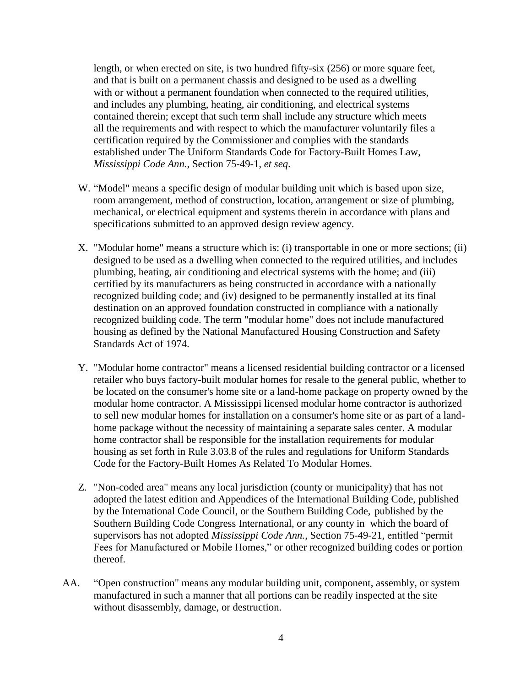length, or when erected on site, is two hundred fifty-six (256) or more square feet, and that is built on a permanent chassis and designed to be used as a dwelling with or without a permanent foundation when connected to the required utilities, and includes any plumbing, heating, air conditioning, and electrical systems contained therein; except that such term shall include any structure which meets all the requirements and with respect to which the manufacturer voluntarily files a certification required by the Commissioner and complies with the standards established under The Uniform Standards Code for Factory-Built Homes Law, *Mississippi Code Ann.*, Section 75-49-1, *et seq*.

- W. "Model" means a specific design of modular building unit which is based upon size, room arrangement, method of construction, location, arrangement or size of plumbing, mechanical, or electrical equipment and systems therein in accordance with plans and specifications submitted to an approved design review agency.
- X. "Modular home" means a structure which is: (i) transportable in one or more sections; (ii) designed to be used as a dwelling when connected to the required utilities, and includes plumbing, heating, air conditioning and electrical systems with the home; and (iii) certified by its manufacturers as being constructed in accordance with a nationally recognized building code; and (iv) designed to be permanently installed at its final destination on an approved foundation constructed in compliance with a nationally recognized building code. The term "modular home" does not include manufactured housing as defined by the National Manufactured Housing Construction and Safety Standards Act of 1974.
- Y. "Modular home contractor" means a licensed residential building contractor or a licensed retailer who buys factory-built modular homes for resale to the general public, whether to be located on the consumer's home site or a land-home package on property owned by the modular home contractor. A Mississippi licensed modular home contractor is authorized to sell new modular homes for installation on a consumer's home site or as part of a landhome package without the necessity of maintaining a separate sales center. A modular home contractor shall be responsible for the installation requirements for modular housing as set forth in Rule 3.03.8 of the rules and regulations for Uniform Standards Code for the Factory-Built Homes As Related To Modular Homes.
- Z. "Non-coded area" means any local jurisdiction (county or municipality) that has not adopted the latest edition and Appendices of the International Building Code, published by the International Code Council, or the Southern Building Code, published by the Southern Building Code Congress International, or any county in which the board of supervisors has not adopted *Mississippi Code Ann.*, Section 75-49-21, entitled "permit Fees for Manufactured or Mobile Homes," or other recognized building codes or portion thereof.
- AA. "Open construction" means any modular building unit, component, assembly, or system manufactured in such a manner that all portions can be readily inspected at the site without disassembly, damage, or destruction.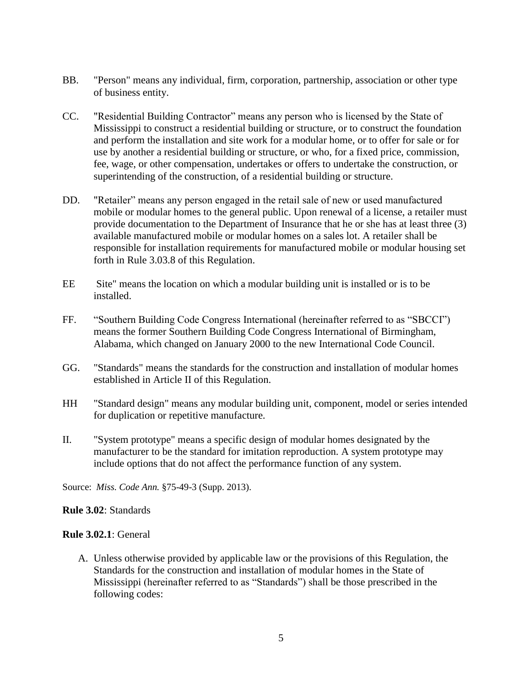- BB. "Person" means any individual, firm, corporation, partnership, association or other type of business entity.
- CC. "Residential Building Contractor" means any person who is licensed by the State of Mississippi to construct a residential building or structure, or to construct the foundation and perform the installation and site work for a modular home, or to offer for sale or for use by another a residential building or structure, or who, for a fixed price, commission, fee, wage, or other compensation, undertakes or offers to undertake the construction, or superintending of the construction, of a residential building or structure.
- DD. "Retailer" means any person engaged in the retail sale of new or used manufactured mobile or modular homes to the general public. Upon renewal of a license, a retailer must provide documentation to the Department of Insurance that he or she has at least three (3) available manufactured mobile or modular homes on a sales lot. A retailer shall be responsible for installation requirements for manufactured mobile or modular housing set forth in Rule 3.03.8 of this Regulation.
- EE Site" means the location on which a modular building unit is installed or is to be installed.
- FF. "Southern Building Code Congress International (hereinafter referred to as "SBCCI") means the former Southern Building Code Congress International of Birmingham, Alabama, which changed on January 2000 to the new International Code Council.
- GG. "Standards" means the standards for the construction and installation of modular homes established in Article II of this Regulation.
- HH "Standard design" means any modular building unit, component, model or series intended for duplication or repetitive manufacture.
- II. "System prototype" means a specific design of modular homes designated by the manufacturer to be the standard for imitation reproduction. A system prototype may include options that do not affect the performance function of any system.

Source: *Miss. Code Ann.* §75-49-3 (Supp. 2013).

# **Rule 3.02**: Standards

# **Rule 3.02.1**: General

A. Unless otherwise provided by applicable law or the provisions of this Regulation, the Standards for the construction and installation of modular homes in the State of Mississippi (hereinafter referred to as "Standards") shall be those prescribed in the following codes: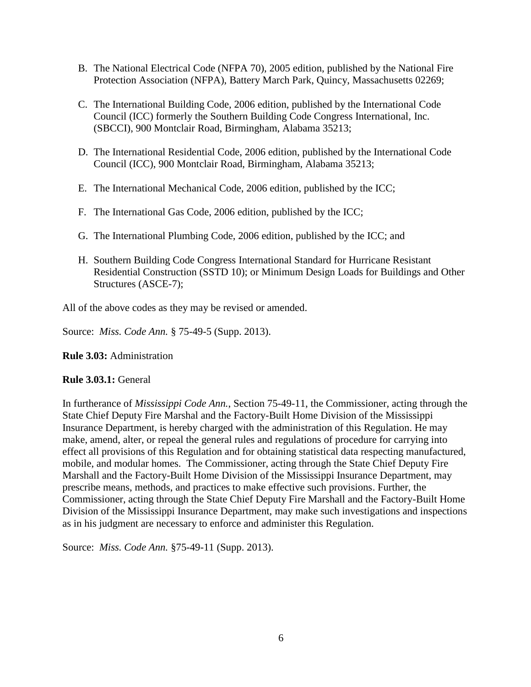- B. The National Electrical Code (NFPA 70), 2005 edition, published by the National Fire Protection Association (NFPA), Battery March Park, Quincy, Massachusetts 02269;
- C. The International Building Code, 2006 edition, published by the International Code Council (ICC) formerly the Southern Building Code Congress International, Inc. (SBCCI), 900 Montclair Road, Birmingham, Alabama 35213;
- D. The International Residential Code, 2006 edition, published by the International Code Council (ICC), 900 Montclair Road, Birmingham, Alabama 35213;
- E. The International Mechanical Code, 2006 edition, published by the ICC;
- F. The International Gas Code, 2006 edition, published by the ICC;
- G. The International Plumbing Code, 2006 edition, published by the ICC; and
- H. Southern Building Code Congress International Standard for Hurricane Resistant Residential Construction (SSTD 10); or Minimum Design Loads for Buildings and Other Structures (ASCE-7);

All of the above codes as they may be revised or amended.

Source: *Miss. Code Ann.* § 75-49-5 (Supp. 2013).

**Rule 3.03:** Administration

# **Rule 3.03.1:** General

In furtherance of *Mississippi Code Ann.*, Section 75-49-11, the Commissioner, acting through the State Chief Deputy Fire Marshal and the Factory-Built Home Division of the Mississippi Insurance Department, is hereby charged with the administration of this Regulation. He may make, amend, alter, or repeal the general rules and regulations of procedure for carrying into effect all provisions of this Regulation and for obtaining statistical data respecting manufactured, mobile, and modular homes. The Commissioner, acting through the State Chief Deputy Fire Marshall and the Factory-Built Home Division of the Mississippi Insurance Department, may prescribe means, methods, and practices to make effective such provisions. Further, the Commissioner, acting through the State Chief Deputy Fire Marshall and the Factory-Built Home Division of the Mississippi Insurance Department, may make such investigations and inspections as in his judgment are necessary to enforce and administer this Regulation.

Source: *Miss. Code Ann.* §75-49-11 (Supp. 2013).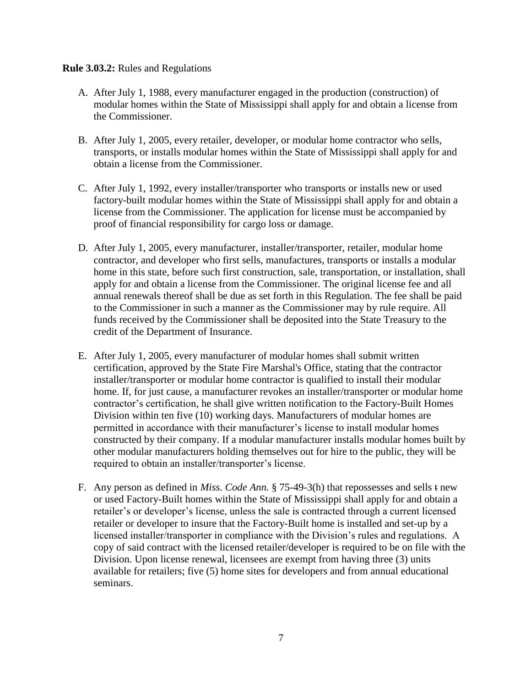### **Rule 3.03.2:** Rules and Regulations

- A. After July 1, 1988, every manufacturer engaged in the production (construction) of modular homes within the State of Mississippi shall apply for and obtain a license from the Commissioner.
- B. After July 1, 2005, every retailer, developer, or modular home contractor who sells, transports, or installs modular homes within the State of Mississippi shall apply for and obtain a license from the Commissioner.
- C. After July 1, 1992, every installer/transporter who transports or installs new or used factory-built modular homes within the State of Mississippi shall apply for and obtain a license from the Commissioner. The application for license must be accompanied by proof of financial responsibility for cargo loss or damage.
- D. After July 1, 2005, every manufacturer, installer/transporter, retailer, modular home contractor, and developer who first sells, manufactures, transports or installs a modular home in this state, before such first construction, sale, transportation, or installation, shall apply for and obtain a license from the Commissioner. The original license fee and all annual renewals thereof shall be due as set forth in this Regulation. The fee shall be paid to the Commissioner in such a manner as the Commissioner may by rule require. All funds received by the Commissioner shall be deposited into the State Treasury to the credit of the Department of Insurance.
- E. After July 1, 2005, every manufacturer of modular homes shall submit written certification, approved by the State Fire Marshal's Office, stating that the contractor installer/transporter or modular home contractor is qualified to install their modular home. If, for just cause, a manufacturer revokes an installer/transporter or modular home contractor's certification, he shall give written notification to the Factory-Built Homes Division within ten five (10) working days. Manufacturers of modular homes are permitted in accordance with their manufacturer's license to install modular homes constructed by their company. If a modular manufacturer installs modular homes built by other modular manufacturers holding themselves out for hire to the public, they will be required to obtain an installer/transporter's license.
- F. Any person as defined in *Miss. Code Ann.* § 75-49-3(h) that repossesses and sells t new or used Factory-Built homes within the State of Mississippi shall apply for and obtain a retailer's or developer's license, unless the sale is contracted through a current licensed retailer or developer to insure that the Factory-Built home is installed and set-up by a licensed installer/transporter in compliance with the Division's rules and regulations. A copy of said contract with the licensed retailer/developer is required to be on file with the Division. Upon license renewal, licensees are exempt from having three (3) units available for retailers; five (5) home sites for developers and from annual educational seminars.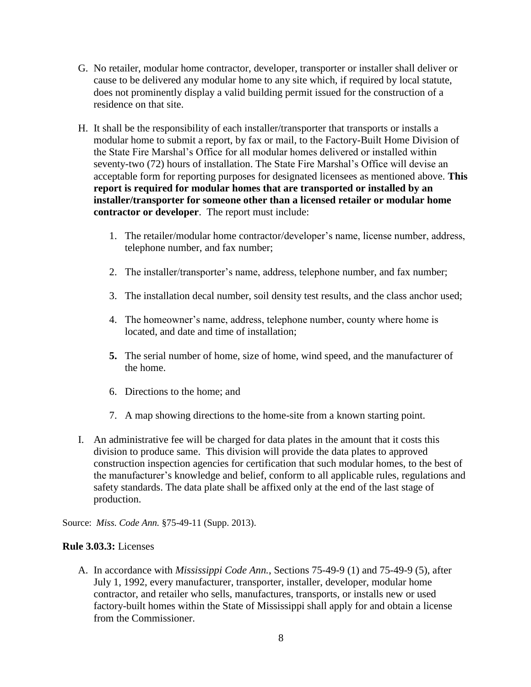- G. No retailer, modular home contractor, developer, transporter or installer shall deliver or cause to be delivered any modular home to any site which, if required by local statute, does not prominently display a valid building permit issued for the construction of a residence on that site.
- H. It shall be the responsibility of each installer/transporter that transports or installs a modular home to submit a report, by fax or mail, to the Factory-Built Home Division of the State Fire Marshal's Office for all modular homes delivered or installed within seventy-two (72) hours of installation. The State Fire Marshal's Office will devise an acceptable form for reporting purposes for designated licensees as mentioned above. **This report is required for modular homes that are transported or installed by an installer/transporter for someone other than a licensed retailer or modular home contractor or developer**. The report must include:
	- 1. The retailer/modular home contractor/developer's name, license number, address, telephone number, and fax number;
	- 2. The installer/transporter's name, address, telephone number, and fax number;
	- 3. The installation decal number, soil density test results, and the class anchor used;
	- 4. The homeowner's name, address, telephone number, county where home is located, and date and time of installation;
	- **5.** The serial number of home, size of home, wind speed, and the manufacturer of the home.
	- 6. Directions to the home; and
	- 7. A map showing directions to the home-site from a known starting point.
- I. An administrative fee will be charged for data plates in the amount that it costs this division to produce same. This division will provide the data plates to approved construction inspection agencies for certification that such modular homes, to the best of the manufacturer's knowledge and belief, conform to all applicable rules, regulations and safety standards. The data plate shall be affixed only at the end of the last stage of production.

Source: *Miss. Code Ann.* §75-49-11 (Supp. 2013).

# **Rule 3.03.3:** Licenses

A. In accordance with *Mississippi Code Ann.*, Sections 75-49-9 (1) and 75-49-9 (5), after July 1, 1992, every manufacturer, transporter, installer, developer, modular home contractor, and retailer who sells, manufactures, transports, or installs new or used factory-built homes within the State of Mississippi shall apply for and obtain a license from the Commissioner.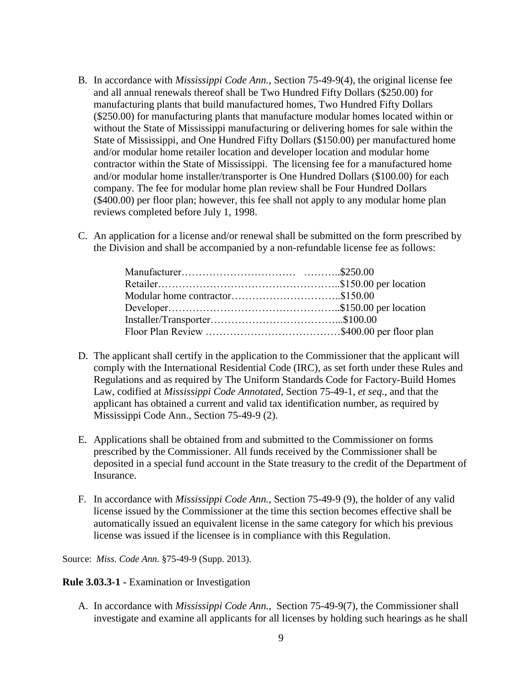- B. In accordance with *Mississippi Code Ann.*, Section 75-49-9(4), the original license fee and all annual renewals thereof shall be Two Hundred Fifty Dollars (\$250.00) for manufacturing plants that build manufactured homes, Two Hundred Fifty Dollars (\$250.00) for manufacturing plants that manufacture modular homes located within or without the State of Mississippi manufacturing or delivering homes for sale within the State of Mississippi, and One Hundred Fifty Dollars (\$150.00) per manufactured home and/or modular home retailer location and developer location and modular home contractor within the State of Mississippi. The licensing fee for a manufactured home and/or modular home installer/transporter is One Hundred Dollars (\$100.00) for each company. The fee for modular home plan review shall be Four Hundred Dollars (\$400.00) per floor plan; however, this fee shall not apply to any modular home plan reviews completed before July 1, 1998.
- C. An application for a license and/or renewal shall be submitted on the form prescribed by the Division and shall be accompanied by a non-refundable license fee as follows:

- D. The applicant shall certify in the application to the Commissioner that the applicant will comply with the International Residential Code (IRC), as set forth under these Rules and Regulations and as required by The Uniform Standards Code for Factory-Build Homes Law, codified at *Mississippi Code Annotated*, Section 75-49-1, *et seq.*, and that the applicant has obtained a current and valid tax identification number, as required by Mississippi Code Ann., Section 75-49-9 (2).
- E. Applications shall be obtained from and submitted to the Commissioner on forms prescribed by the Commissioner. All funds received by the Commissioner shall be deposited in a special fund account in the State treasury to the credit of the Department of Insurance.
- F. In accordance with *Mississippi Code Ann.*, Section 75-49-9 (9), the holder of any valid license issued by the Commissioner at the time this section becomes effective shall be automatically issued an equivalent license in the same category for which his previous license was issued if the licensee is in compliance with this Regulation.

Source: *Miss. Code Ann.* §75-49-9 (Supp. 2013).

**Rule 3.03.3-1 -** Examination or Investigation

A. In accordance with *Mississippi Code Ann.*, Section 75-49-9(7), the Commissioner shall investigate and examine all applicants for all licenses by holding such hearings as he shall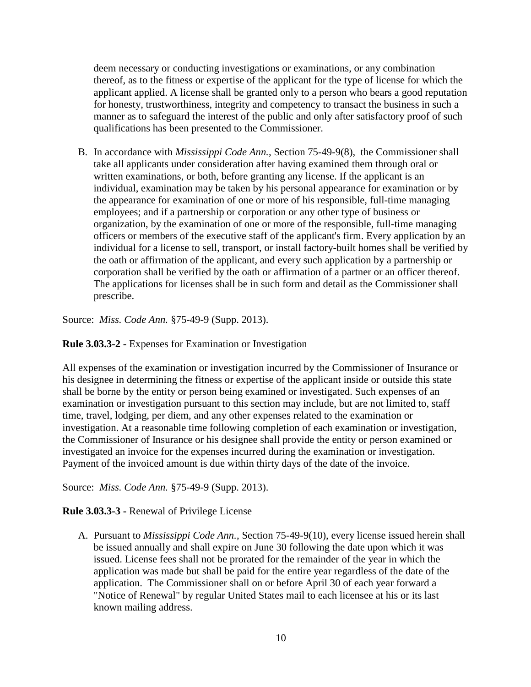deem necessary or conducting investigations or examinations, or any combination thereof, as to the fitness or expertise of the applicant for the type of license for which the applicant applied. A license shall be granted only to a person who bears a good reputation for honesty, trustworthiness, integrity and competency to transact the business in such a manner as to safeguard the interest of the public and only after satisfactory proof of such qualifications has been presented to the Commissioner.

B. In accordance with *Mississippi Code Ann.*, Section 75-49-9(8), the Commissioner shall take all applicants under consideration after having examined them through oral or written examinations, or both, before granting any license. If the applicant is an individual, examination may be taken by his personal appearance for examination or by the appearance for examination of one or more of his responsible, full-time managing employees; and if a partnership or corporation or any other type of business or organization, by the examination of one or more of the responsible, full-time managing officers or members of the executive staff of the applicant's firm. Every application by an individual for a license to sell, transport, or install factory-built homes shall be verified by the oath or affirmation of the applicant, and every such application by a partnership or corporation shall be verified by the oath or affirmation of a partner or an officer thereof. The applications for licenses shall be in such form and detail as the Commissioner shall prescribe.

Source: *Miss. Code Ann.* §75-49-9 (Supp. 2013).

**Rule 3.03.3-2 -** Expenses for Examination or Investigation

All expenses of the examination or investigation incurred by the Commissioner of Insurance or his designee in determining the fitness or expertise of the applicant inside or outside this state shall be borne by the entity or person being examined or investigated. Such expenses of an examination or investigation pursuant to this section may include, but are not limited to, staff time, travel, lodging, per diem, and any other expenses related to the examination or investigation. At a reasonable time following completion of each examination or investigation, the Commissioner of Insurance or his designee shall provide the entity or person examined or investigated an invoice for the expenses incurred during the examination or investigation. Payment of the invoiced amount is due within thirty days of the date of the invoice.

Source: *Miss. Code Ann.* §75-49-9 (Supp. 2013).

# **Rule 3.03.3-3 -** Renewal of Privilege License

A. Pursuant to *Mississippi Code Ann.*, Section 75-49-9(10), every license issued herein shall be issued annually and shall expire on June 30 following the date upon which it was issued. License fees shall not be prorated for the remainder of the year in which the application was made but shall be paid for the entire year regardless of the date of the application. The Commissioner shall on or before April 30 of each year forward a "Notice of Renewal" by regular United States mail to each licensee at his or its last known mailing address.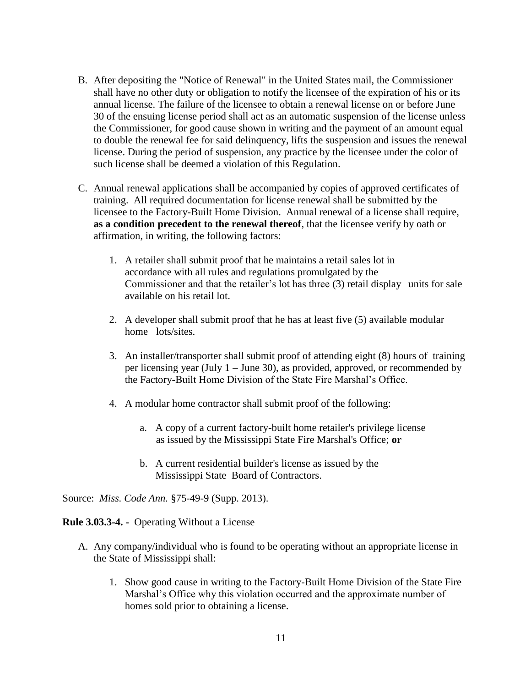- B. After depositing the "Notice of Renewal" in the United States mail, the Commissioner shall have no other duty or obligation to notify the licensee of the expiration of his or its annual license. The failure of the licensee to obtain a renewal license on or before June 30 of the ensuing license period shall act as an automatic suspension of the license unless the Commissioner, for good cause shown in writing and the payment of an amount equal to double the renewal fee for said delinquency, lifts the suspension and issues the renewal license. During the period of suspension, any practice by the licensee under the color of such license shall be deemed a violation of this Regulation.
- C. Annual renewal applications shall be accompanied by copies of approved certificates of training. All required documentation for license renewal shall be submitted by the licensee to the Factory-Built Home Division. Annual renewal of a license shall require, **as a condition precedent to the renewal thereof**, that the licensee verify by oath or affirmation, in writing, the following factors:
	- 1. A retailer shall submit proof that he maintains a retail sales lot in accordance with all rules and regulations promulgated by the Commissioner and that the retailer's lot has three (3) retail display units for sale available on his retail lot.
	- 2. A developer shall submit proof that he has at least five (5) available modular home lots/sites.
	- 3. An installer/transporter shall submit proof of attending eight (8) hours of training per licensing year (July 1 – June 30), as provided, approved, or recommended by the Factory-Built Home Division of the State Fire Marshal's Office.
	- 4. A modular home contractor shall submit proof of the following:
		- a. A copy of a current factory-built home retailer's privilege license as issued by the Mississippi State Fire Marshal's Office; **or**
		- b. A current residential builder's license as issued by the Mississippi State Board of Contractors.

Source: *Miss. Code Ann.* §75-49-9 (Supp. 2013).

**Rule 3.03.3-4. -** Operating Without a License

- A. Any company/individual who is found to be operating without an appropriate license in the State of Mississippi shall:
	- 1. Show good cause in writing to the Factory-Built Home Division of the State Fire Marshal's Office why this violation occurred and the approximate number of homes sold prior to obtaining a license.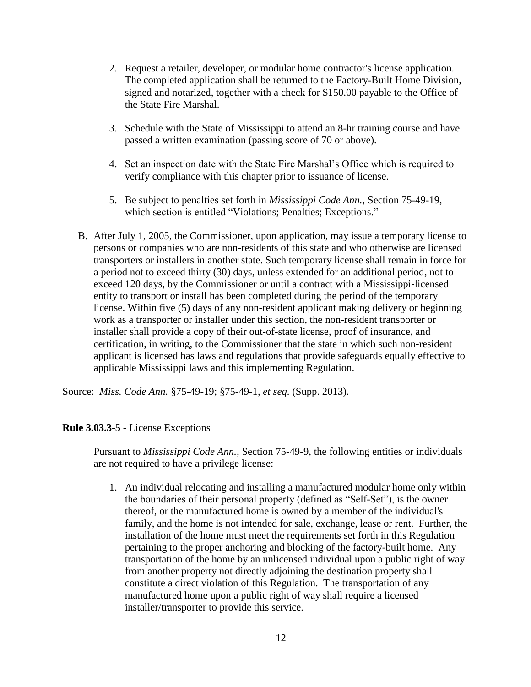- 2. Request a retailer, developer, or modular home contractor's license application. The completed application shall be returned to the Factory-Built Home Division, signed and notarized, together with a check for \$150.00 payable to the Office of the State Fire Marshal.
- 3. Schedule with the State of Mississippi to attend an 8-hr training course and have passed a written examination (passing score of 70 or above).
- 4. Set an inspection date with the State Fire Marshal's Office which is required to verify compliance with this chapter prior to issuance of license.
- 5. Be subject to penalties set forth in *Mississippi Code Ann.*, Section 75-49-19, which section is entitled "Violations; Penalties; Exceptions."
- B. After July 1, 2005, the Commissioner, upon application, may issue a temporary license to persons or companies who are non-residents of this state and who otherwise are licensed transporters or installers in another state. Such temporary license shall remain in force for a period not to exceed thirty (30) days, unless extended for an additional period, not to exceed 120 days, by the Commissioner or until a contract with a Mississippi-licensed entity to transport or install has been completed during the period of the temporary license. Within five (5) days of any non-resident applicant making delivery or beginning work as a transporter or installer under this section, the non-resident transporter or installer shall provide a copy of their out-of-state license, proof of insurance, and certification, in writing, to the Commissioner that the state in which such non-resident applicant is licensed has laws and regulations that provide safeguards equally effective to applicable Mississippi laws and this implementing Regulation.

Source: *Miss. Code Ann.* §75-49-19; §75-49-1, *et seq*. (Supp. 2013).

# **Rule 3.03.3-5 -** License Exceptions

Pursuant to *Mississippi Code Ann.*, Section 75-49-9, the following entities or individuals are not required to have a privilege license:

1. An individual relocating and installing a manufactured modular home only within the boundaries of their personal property (defined as "Self-Set"), is the owner thereof, or the manufactured home is owned by a member of the individual's family, and the home is not intended for sale, exchange, lease or rent. Further, the installation of the home must meet the requirements set forth in this Regulation pertaining to the proper anchoring and blocking of the factory-built home. Any transportation of the home by an unlicensed individual upon a public right of way from another property not directly adjoining the destination property shall constitute a direct violation of this Regulation. The transportation of any manufactured home upon a public right of way shall require a licensed installer/transporter to provide this service.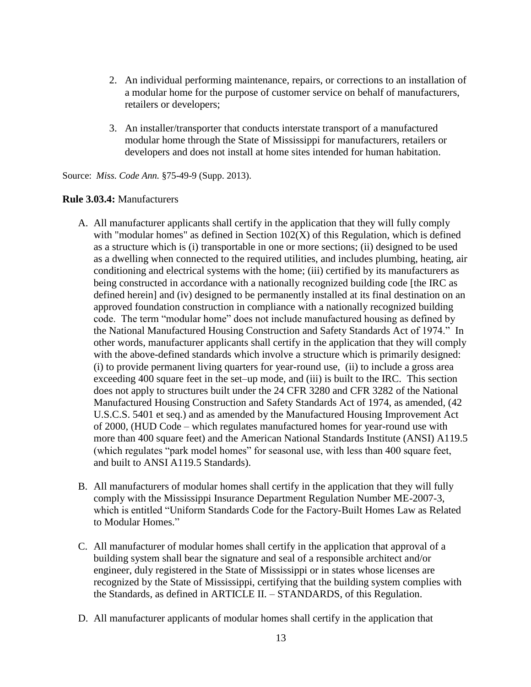- 2. An individual performing maintenance, repairs, or corrections to an installation of a modular home for the purpose of customer service on behalf of manufacturers, retailers or developers;
- 3. An installer/transporter that conducts interstate transport of a manufactured modular home through the State of Mississippi for manufacturers, retailers or developers and does not install at home sites intended for human habitation.

Source: *Miss. Code Ann.* §75-49-9 (Supp. 2013).

### **Rule 3.03.4:** Manufacturers

- A. All manufacturer applicants shall certify in the application that they will fully comply with "modular homes" as defined in Section  $102(X)$  of this Regulation, which is defined as a structure which is (i) transportable in one or more sections; (ii) designed to be used as a dwelling when connected to the required utilities, and includes plumbing, heating, air conditioning and electrical systems with the home; (iii) certified by its manufacturers as being constructed in accordance with a nationally recognized building code [the IRC as defined herein] and (iv) designed to be permanently installed at its final destination on an approved foundation construction in compliance with a nationally recognized building code. The term "modular home" does not include manufactured housing as defined by the National Manufactured Housing Construction and Safety Standards Act of 1974." In other words, manufacturer applicants shall certify in the application that they will comply with the above-defined standards which involve a structure which is primarily designed: (i) to provide permanent living quarters for year-round use, (ii) to include a gross area exceeding 400 square feet in the set–up mode, and (iii) is built to the IRC. This section does not apply to structures built under the 24 CFR 3280 and CFR 3282 of the National Manufactured Housing Construction and Safety Standards Act of 1974, as amended, (42 U.S.C.S. 5401 et seq.) and as amended by the Manufactured Housing Improvement Act of 2000, (HUD Code – which regulates manufactured homes for year-round use with more than 400 square feet) and the American National Standards Institute (ANSI) A119.5 (which regulates "park model homes" for seasonal use, with less than 400 square feet, and built to ANSI A119.5 Standards).
- B. All manufacturers of modular homes shall certify in the application that they will fully comply with the Mississippi Insurance Department Regulation Number ME-2007-3, which is entitled "Uniform Standards Code for the Factory-Built Homes Law as Related to Modular Homes."
- C. All manufacturer of modular homes shall certify in the application that approval of a building system shall bear the signature and seal of a responsible architect and/or engineer, duly registered in the State of Mississippi or in states whose licenses are recognized by the State of Mississippi, certifying that the building system complies with the Standards, as defined in ARTICLE II. – STANDARDS, of this Regulation.
- D. All manufacturer applicants of modular homes shall certify in the application that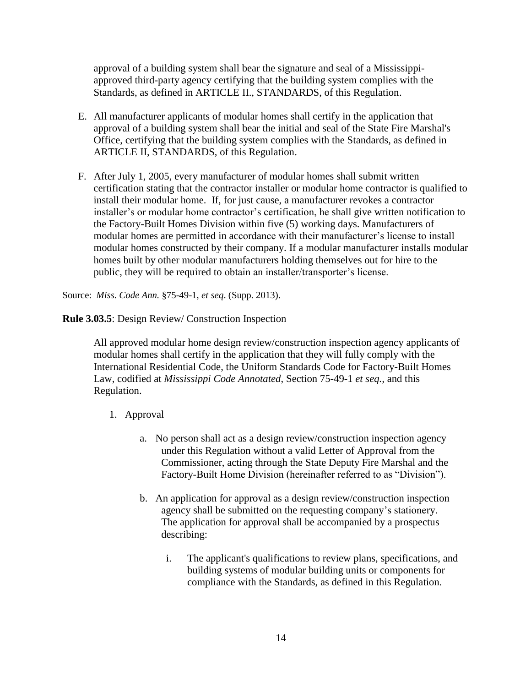approval of a building system shall bear the signature and seal of a Mississippi approved third-party agency certifying that the building system complies with the Standards, as defined in ARTICLE II., STANDARDS, of this Regulation.

- E. All manufacturer applicants of modular homes shall certify in the application that approval of a building system shall bear the initial and seal of the State Fire Marshal's Office, certifying that the building system complies with the Standards, as defined in ARTICLE II, STANDARDS, of this Regulation.
- F. After July 1, 2005, every manufacturer of modular homes shall submit written certification stating that the contractor installer or modular home contractor is qualified to install their modular home. If, for just cause, a manufacturer revokes a contractor installer's or modular home contractor's certification, he shall give written notification to the Factory-Built Homes Division within five (5) working days. Manufacturers of modular homes are permitted in accordance with their manufacturer's license to install modular homes constructed by their company. If a modular manufacturer installs modular homes built by other modular manufacturers holding themselves out for hire to the public, they will be required to obtain an installer/transporter's license.

Source: *Miss. Code Ann.* §75-49-1, *et seq*. (Supp. 2013).

**Rule 3.03.5**: Design Review/ Construction Inspection

All approved modular home design review/construction inspection agency applicants of modular homes shall certify in the application that they will fully comply with the International Residential Code, the Uniform Standards Code for Factory-Built Homes Law, codified at *Mississippi Code Annotated*, Section 75-49-1 *et seq.,* and this Regulation.

- 1. Approval
	- a. No person shall act as a design review/construction inspection agency under this Regulation without a valid Letter of Approval from the Commissioner, acting through the State Deputy Fire Marshal and the Factory-Built Home Division (hereinafter referred to as "Division").
	- b. An application for approval as a design review/construction inspection agency shall be submitted on the requesting company's stationery. The application for approval shall be accompanied by a prospectus describing:
		- i. The applicant's qualifications to review plans, specifications, and building systems of modular building units or components for compliance with the Standards, as defined in this Regulation.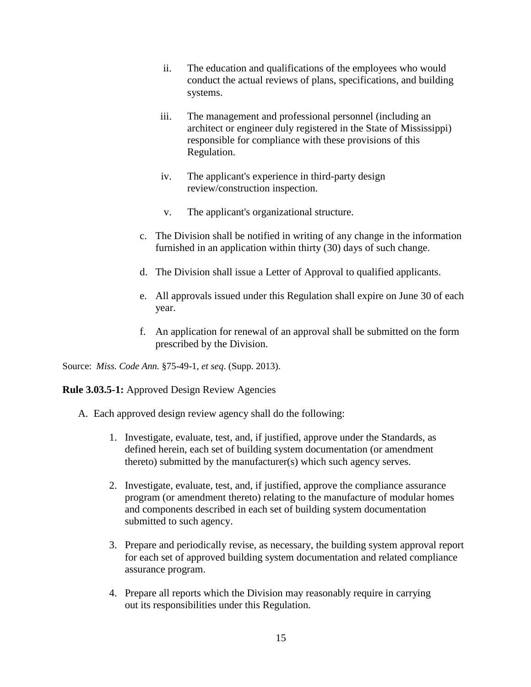- ii. The education and qualifications of the employees who would conduct the actual reviews of plans, specifications, and building systems.
- iii. The management and professional personnel (including an architect or engineer duly registered in the State of Mississippi) responsible for compliance with these provisions of this Regulation.
- iv. The applicant's experience in third-party design review/construction inspection.
- v. The applicant's organizational structure.
- c. The Division shall be notified in writing of any change in the information furnished in an application within thirty (30) days of such change.
- d. The Division shall issue a Letter of Approval to qualified applicants.
- e. All approvals issued under this Regulation shall expire on June 30 of each year.
- f. An application for renewal of an approval shall be submitted on the form prescribed by the Division.

Source: *Miss. Code Ann.* §75-49-1, *et seq*. (Supp. 2013).

**Rule 3.03.5-1:** Approved Design Review Agencies

- A. Each approved design review agency shall do the following:
	- 1. Investigate, evaluate, test, and, if justified, approve under the Standards, as defined herein, each set of building system documentation (or amendment thereto) submitted by the manufacturer(s) which such agency serves.
	- 2. Investigate, evaluate, test, and, if justified, approve the compliance assurance program (or amendment thereto) relating to the manufacture of modular homes and components described in each set of building system documentation submitted to such agency.
	- 3. Prepare and periodically revise, as necessary, the building system approval report for each set of approved building system documentation and related compliance assurance program.
	- 4. Prepare all reports which the Division may reasonably require in carrying out its responsibilities under this Regulation.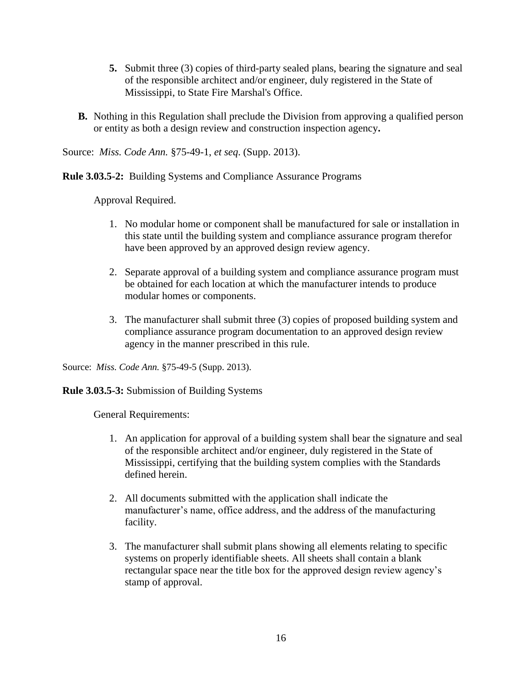- **5.** Submit three (3) copies of third-party sealed plans, bearing the signature and seal of the responsible architect and/or engineer, duly registered in the State of Mississippi, to State Fire Marshal's Office.
- **B.** Nothing in this Regulation shall preclude the Division from approving a qualified person or entity as both a design review and construction inspection agency**.**

Source: *Miss. Code Ann.* §75-49-1, *et seq*. (Supp. 2013).

**Rule 3.03.5-2:** Building Systems and Compliance Assurance Programs

Approval Required.

- 1. No modular home or component shall be manufactured for sale or installation in this state until the building system and compliance assurance program therefor have been approved by an approved design review agency.
- 2. Separate approval of a building system and compliance assurance program must be obtained for each location at which the manufacturer intends to produce modular homes or components.
- 3. The manufacturer shall submit three (3) copies of proposed building system and compliance assurance program documentation to an approved design review agency in the manner prescribed in this rule.

Source: *Miss. Code Ann.* §75-49-5 (Supp. 2013).

**Rule 3.03.5-3:** Submission of Building Systems

General Requirements:

- 1. An application for approval of a building system shall bear the signature and seal of the responsible architect and/or engineer, duly registered in the State of Mississippi, certifying that the building system complies with the Standards defined herein.
- 2. All documents submitted with the application shall indicate the manufacturer's name, office address, and the address of the manufacturing facility.
- 3. The manufacturer shall submit plans showing all elements relating to specific systems on properly identifiable sheets. All sheets shall contain a blank rectangular space near the title box for the approved design review agency's stamp of approval.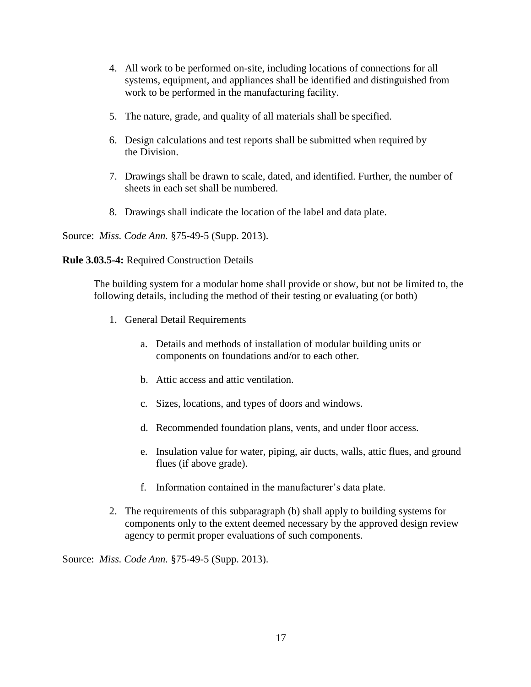- 4. All work to be performed on-site, including locations of connections for all systems, equipment, and appliances shall be identified and distinguished from work to be performed in the manufacturing facility.
- 5. The nature, grade, and quality of all materials shall be specified.
- 6. Design calculations and test reports shall be submitted when required by the Division.
- 7. Drawings shall be drawn to scale, dated, and identified. Further, the number of sheets in each set shall be numbered.
- 8. Drawings shall indicate the location of the label and data plate.

Source: *Miss. Code Ann.* §75-49-5 (Supp. 2013).

**Rule 3.03.5-4:** Required Construction Details

The building system for a modular home shall provide or show, but not be limited to, the following details, including the method of their testing or evaluating (or both)

- 1. General Detail Requirements
	- a. Details and methods of installation of modular building units or components on foundations and/or to each other.
	- b. Attic access and attic ventilation.
	- c. Sizes, locations, and types of doors and windows.
	- d. Recommended foundation plans, vents, and under floor access.
	- e. Insulation value for water, piping, air ducts, walls, attic flues, and ground flues (if above grade).
	- f. Information contained in the manufacturer's data plate.
- 2. The requirements of this subparagraph (b) shall apply to building systems for components only to the extent deemed necessary by the approved design review agency to permit proper evaluations of such components.

Source: *Miss. Code Ann.* §75-49-5 (Supp. 2013).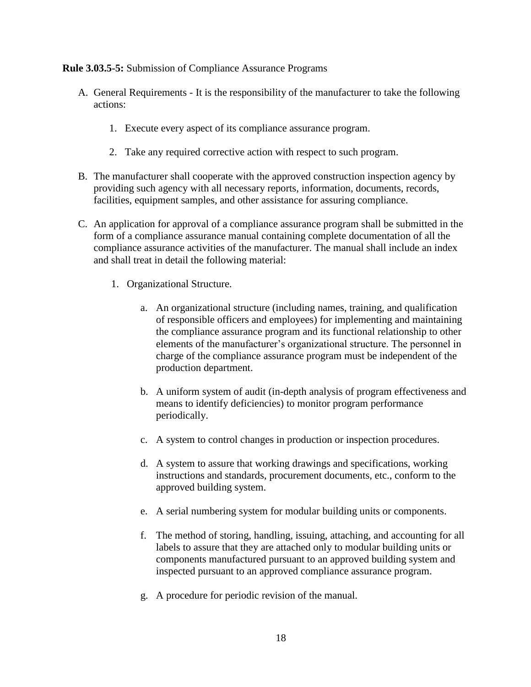**Rule 3.03.5-5:** Submission of Compliance Assurance Programs

- A. General Requirements It is the responsibility of the manufacturer to take the following actions:
	- 1. Execute every aspect of its compliance assurance program.
	- 2. Take any required corrective action with respect to such program.
- B. The manufacturer shall cooperate with the approved construction inspection agency by providing such agency with all necessary reports, information, documents, records, facilities, equipment samples, and other assistance for assuring compliance.
- C. An application for approval of a compliance assurance program shall be submitted in the form of a compliance assurance manual containing complete documentation of all the compliance assurance activities of the manufacturer. The manual shall include an index and shall treat in detail the following material:
	- 1. Organizational Structure.
		- a. An organizational structure (including names, training, and qualification of responsible officers and employees) for implementing and maintaining the compliance assurance program and its functional relationship to other elements of the manufacturer's organizational structure. The personnel in charge of the compliance assurance program must be independent of the production department.
		- b. A uniform system of audit (in-depth analysis of program effectiveness and means to identify deficiencies) to monitor program performance periodically.
		- c. A system to control changes in production or inspection procedures.
		- d. A system to assure that working drawings and specifications, working instructions and standards, procurement documents, etc., conform to the approved building system.
		- e. A serial numbering system for modular building units or components.
		- f. The method of storing, handling, issuing, attaching, and accounting for all labels to assure that they are attached only to modular building units or components manufactured pursuant to an approved building system and inspected pursuant to an approved compliance assurance program.
		- g. A procedure for periodic revision of the manual.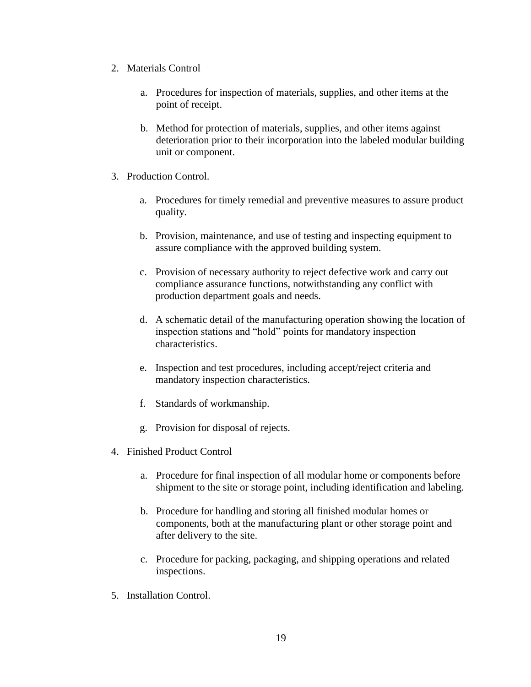- 2. Materials Control
	- a. Procedures for inspection of materials, supplies, and other items at the point of receipt.
	- b. Method for protection of materials, supplies, and other items against deterioration prior to their incorporation into the labeled modular building unit or component.
- 3. Production Control.
	- a. Procedures for timely remedial and preventive measures to assure product quality.
	- b. Provision, maintenance, and use of testing and inspecting equipment to assure compliance with the approved building system.
	- c. Provision of necessary authority to reject defective work and carry out compliance assurance functions, notwithstanding any conflict with production department goals and needs.
	- d. A schematic detail of the manufacturing operation showing the location of inspection stations and "hold" points for mandatory inspection characteristics.
	- e. Inspection and test procedures, including accept/reject criteria and mandatory inspection characteristics.
	- f. Standards of workmanship.
	- g. Provision for disposal of rejects.
- 4. Finished Product Control
	- a. Procedure for final inspection of all modular home or components before shipment to the site or storage point, including identification and labeling.
	- b. Procedure for handling and storing all finished modular homes or components, both at the manufacturing plant or other storage point and after delivery to the site.
	- c. Procedure for packing, packaging, and shipping operations and related inspections.
- 5. Installation Control.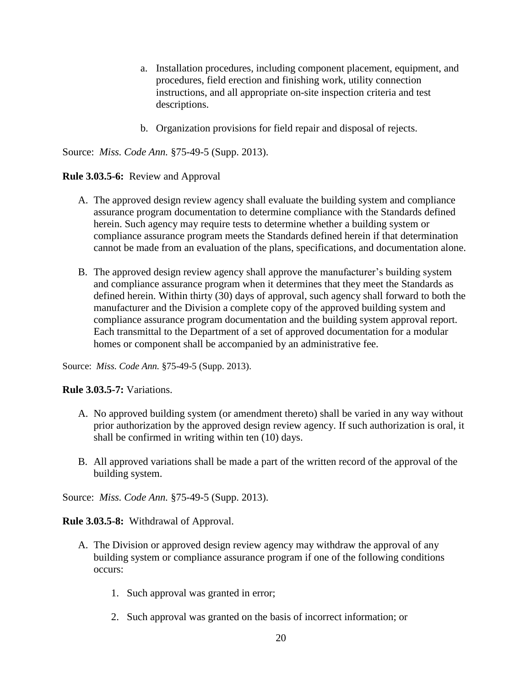- a. Installation procedures, including component placement, equipment, and procedures, field erection and finishing work, utility connection instructions, and all appropriate on-site inspection criteria and test descriptions.
- b. Organization provisions for field repair and disposal of rejects.

Source: *Miss. Code Ann.* §75-49-5 (Supp. 2013).

# **Rule 3.03.5-6:** Review and Approval

- A. The approved design review agency shall evaluate the building system and compliance assurance program documentation to determine compliance with the Standards defined herein. Such agency may require tests to determine whether a building system or compliance assurance program meets the Standards defined herein if that determination cannot be made from an evaluation of the plans, specifications, and documentation alone.
- B. The approved design review agency shall approve the manufacturer's building system and compliance assurance program when it determines that they meet the Standards as defined herein. Within thirty (30) days of approval, such agency shall forward to both the manufacturer and the Division a complete copy of the approved building system and compliance assurance program documentation and the building system approval report. Each transmittal to the Department of a set of approved documentation for a modular homes or component shall be accompanied by an administrative fee.

Source: *Miss. Code Ann.* §75-49-5 (Supp. 2013).

**Rule 3.03.5-7:** Variations.

- A. No approved building system (or amendment thereto) shall be varied in any way without prior authorization by the approved design review agency. If such authorization is oral, it shall be confirmed in writing within ten (10) days.
- B. All approved variations shall be made a part of the written record of the approval of the building system.

Source: *Miss. Code Ann.* §75-49-5 (Supp. 2013).

**Rule 3.03.5-8:** Withdrawal of Approval.

- A. The Division or approved design review agency may withdraw the approval of any building system or compliance assurance program if one of the following conditions occurs:
	- 1. Such approval was granted in error;
	- 2. Such approval was granted on the basis of incorrect information; or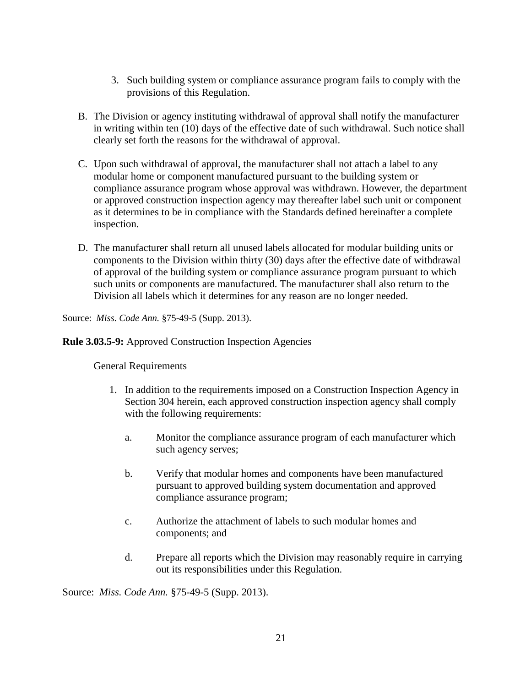- 3. Such building system or compliance assurance program fails to comply with the provisions of this Regulation.
- B. The Division or agency instituting withdrawal of approval shall notify the manufacturer in writing within ten (10) days of the effective date of such withdrawal. Such notice shall clearly set forth the reasons for the withdrawal of approval.
- C. Upon such withdrawal of approval, the manufacturer shall not attach a label to any modular home or component manufactured pursuant to the building system or compliance assurance program whose approval was withdrawn. However, the department or approved construction inspection agency may thereafter label such unit or component as it determines to be in compliance with the Standards defined hereinafter a complete inspection.
- D. The manufacturer shall return all unused labels allocated for modular building units or components to the Division within thirty (30) days after the effective date of withdrawal of approval of the building system or compliance assurance program pursuant to which such units or components are manufactured. The manufacturer shall also return to the Division all labels which it determines for any reason are no longer needed.

Source: *Miss. Code Ann.* §75-49-5 (Supp. 2013).

**Rule 3.03.5-9:** Approved Construction Inspection Agencies

General Requirements

- 1. In addition to the requirements imposed on a Construction Inspection Agency in Section 304 herein, each approved construction inspection agency shall comply with the following requirements:
	- a. Monitor the compliance assurance program of each manufacturer which such agency serves;
	- b. Verify that modular homes and components have been manufactured pursuant to approved building system documentation and approved compliance assurance program;
	- c. Authorize the attachment of labels to such modular homes and components; and
	- d. Prepare all reports which the Division may reasonably require in carrying out its responsibilities under this Regulation.

Source: *Miss. Code Ann.* §75-49-5 (Supp. 2013).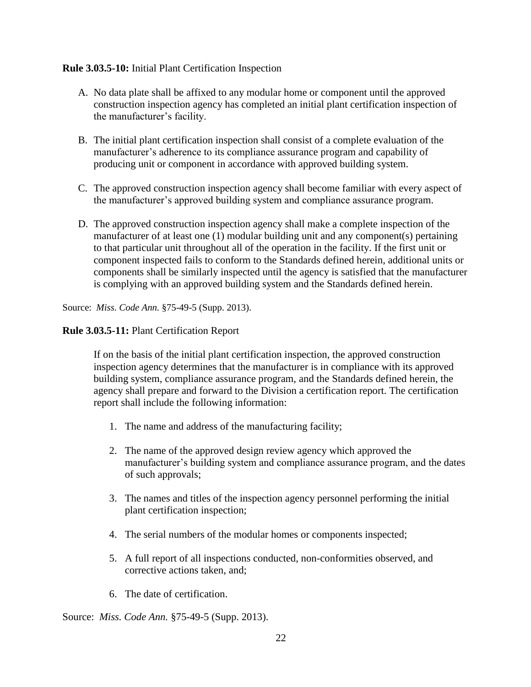# **Rule 3.03.5-10:** Initial Plant Certification Inspection

- A. No data plate shall be affixed to any modular home or component until the approved construction inspection agency has completed an initial plant certification inspection of the manufacturer's facility.
- B. The initial plant certification inspection shall consist of a complete evaluation of the manufacturer's adherence to its compliance assurance program and capability of producing unit or component in accordance with approved building system.
- C. The approved construction inspection agency shall become familiar with every aspect of the manufacturer's approved building system and compliance assurance program.
- D. The approved construction inspection agency shall make a complete inspection of the manufacturer of at least one (1) modular building unit and any component(s) pertaining to that particular unit throughout all of the operation in the facility. If the first unit or component inspected fails to conform to the Standards defined herein, additional units or components shall be similarly inspected until the agency is satisfied that the manufacturer is complying with an approved building system and the Standards defined herein.

Source: *Miss. Code Ann.* §75-49-5 (Supp. 2013).

# **Rule 3.03.5-11:** Plant Certification Report

If on the basis of the initial plant certification inspection, the approved construction inspection agency determines that the manufacturer is in compliance with its approved building system, compliance assurance program, and the Standards defined herein, the agency shall prepare and forward to the Division a certification report. The certification report shall include the following information:

- 1. The name and address of the manufacturing facility;
- 2. The name of the approved design review agency which approved the manufacturer's building system and compliance assurance program, and the dates of such approvals;
- 3. The names and titles of the inspection agency personnel performing the initial plant certification inspection;
- 4. The serial numbers of the modular homes or components inspected;
- 5. A full report of all inspections conducted, non-conformities observed, and corrective actions taken, and;
- 6. The date of certification.

Source: *Miss. Code Ann.* §75-49-5 (Supp. 2013).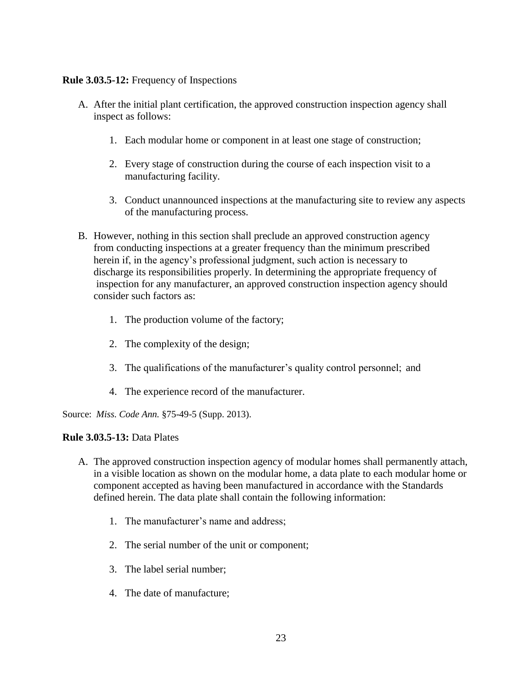# **Rule 3.03.5-12:** Frequency of Inspections

- A. After the initial plant certification, the approved construction inspection agency shall inspect as follows:
	- 1. Each modular home or component in at least one stage of construction;
	- 2. Every stage of construction during the course of each inspection visit to a manufacturing facility.
	- 3. Conduct unannounced inspections at the manufacturing site to review any aspects of the manufacturing process.
- B. However, nothing in this section shall preclude an approved construction agency from conducting inspections at a greater frequency than the minimum prescribed herein if, in the agency's professional judgment, such action is necessary to discharge its responsibilities properly. In determining the appropriate frequency of inspection for any manufacturer, an approved construction inspection agency should consider such factors as:
	- 1. The production volume of the factory;
	- 2. The complexity of the design;
	- 3. The qualifications of the manufacturer's quality control personnel; and
	- 4. The experience record of the manufacturer.

Source: *Miss. Code Ann.* §75-49-5 (Supp. 2013).

# **Rule 3.03.5-13:** Data Plates

- A. The approved construction inspection agency of modular homes shall permanently attach, in a visible location as shown on the modular home, a data plate to each modular home or component accepted as having been manufactured in accordance with the Standards defined herein. The data plate shall contain the following information:
	- 1. The manufacturer's name and address;
	- 2. The serial number of the unit or component;
	- 3. The label serial number;
	- 4. The date of manufacture;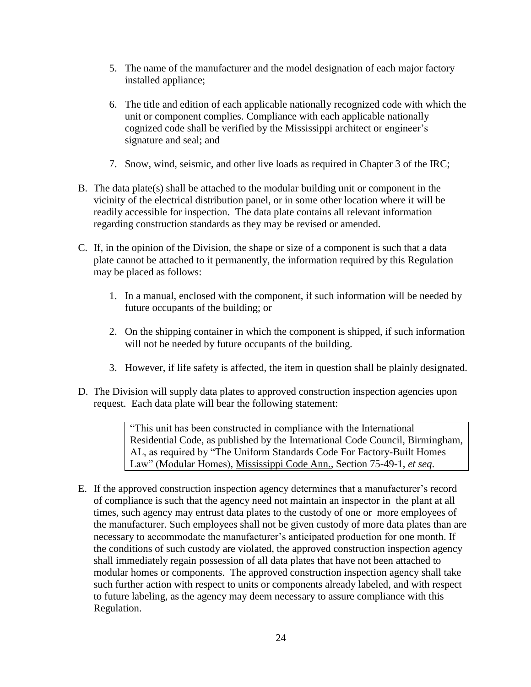- 5. The name of the manufacturer and the model designation of each major factory installed appliance;
- 6. The title and edition of each applicable nationally recognized code with which the unit or component complies. Compliance with each applicable nationally cognized code shall be verified by the Mississippi architect or engineer's signature and seal; and
- 7. Snow, wind, seismic, and other live loads as required in Chapter 3 of the IRC;
- B. The data plate(s) shall be attached to the modular building unit or component in the vicinity of the electrical distribution panel, or in some other location where it will be readily accessible for inspection. The data plate contains all relevant information regarding construction standards as they may be revised or amended.
- C. If, in the opinion of the Division, the shape or size of a component is such that a data plate cannot be attached to it permanently, the information required by this Regulation may be placed as follows:
	- 1. In a manual, enclosed with the component, if such information will be needed by future occupants of the building; or
	- 2. On the shipping container in which the component is shipped, if such information will not be needed by future occupants of the building.
	- 3. However, if life safety is affected, the item in question shall be plainly designated.
- D. The Division will supply data plates to approved construction inspection agencies upon request. Each data plate will bear the following statement:

"This unit has been constructed in compliance with the International Residential Code, as published by the International Code Council, Birmingham, AL, as required by "The Uniform Standards Code For Factory-Built Homes Law" (Modular Homes), Mississippi Code Ann., Section 75-49-1, *et seq*.

E. If the approved construction inspection agency determines that a manufacturer's record of compliance is such that the agency need not maintain an inspector in the plant at all times, such agency may entrust data plates to the custody of one or more employees of the manufacturer. Such employees shall not be given custody of more data plates than are necessary to accommodate the manufacturer's anticipated production for one month. If the conditions of such custody are violated, the approved construction inspection agency shall immediately regain possession of all data plates that have not been attached to modular homes or components. The approved construction inspection agency shall take such further action with respect to units or components already labeled, and with respect to future labeling, as the agency may deem necessary to assure compliance with this Regulation.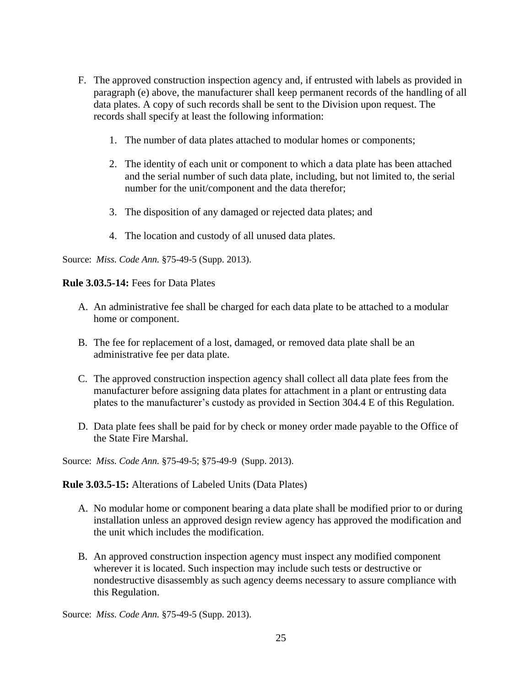- F. The approved construction inspection agency and, if entrusted with labels as provided in paragraph (e) above, the manufacturer shall keep permanent records of the handling of all data plates. A copy of such records shall be sent to the Division upon request. The records shall specify at least the following information:
	- 1. The number of data plates attached to modular homes or components;
	- 2. The identity of each unit or component to which a data plate has been attached and the serial number of such data plate, including, but not limited to, the serial number for the unit/component and the data therefor;
	- 3. The disposition of any damaged or rejected data plates; and
	- 4. The location and custody of all unused data plates.

Source: *Miss. Code Ann.* §75-49-5 (Supp. 2013).

### **Rule 3.03.5-14:** Fees for Data Plates

- A. An administrative fee shall be charged for each data plate to be attached to a modular home or component.
- B. The fee for replacement of a lost, damaged, or removed data plate shall be an administrative fee per data plate.
- C. The approved construction inspection agency shall collect all data plate fees from the manufacturer before assigning data plates for attachment in a plant or entrusting data plates to the manufacturer's custody as provided in Section 304.4 E of this Regulation.
- D. Data plate fees shall be paid for by check or money order made payable to the Office of the State Fire Marshal.

Source: *Miss. Code Ann.* §75-49-5; §75-49-9 (Supp. 2013).

#### **Rule 3.03.5-15:** Alterations of Labeled Units (Data Plates)

- A. No modular home or component bearing a data plate shall be modified prior to or during installation unless an approved design review agency has approved the modification and the unit which includes the modification.
- B. An approved construction inspection agency must inspect any modified component wherever it is located. Such inspection may include such tests or destructive or nondestructive disassembly as such agency deems necessary to assure compliance with this Regulation.

Source: *Miss. Code Ann.* §75-49-5 (Supp. 2013).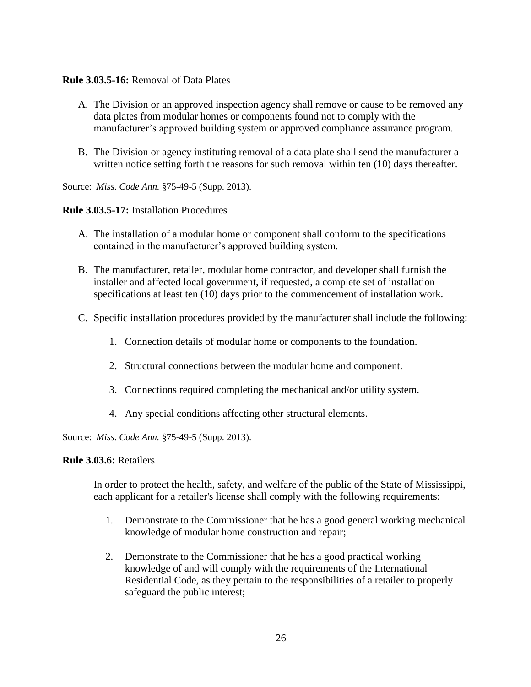# **Rule 3.03.5-16:** Removal of Data Plates

- A. The Division or an approved inspection agency shall remove or cause to be removed any data plates from modular homes or components found not to comply with the manufacturer's approved building system or approved compliance assurance program.
- B. The Division or agency instituting removal of a data plate shall send the manufacturer a written notice setting forth the reasons for such removal within ten (10) days thereafter.

Source: *Miss. Code Ann.* §75-49-5 (Supp. 2013).

# **Rule 3.03.5-17:** Installation Procedures

- A. The installation of a modular home or component shall conform to the specifications contained in the manufacturer's approved building system.
- B. The manufacturer, retailer, modular home contractor, and developer shall furnish the installer and affected local government, if requested, a complete set of installation specifications at least ten (10) days prior to the commencement of installation work.
- C. Specific installation procedures provided by the manufacturer shall include the following:
	- 1. Connection details of modular home or components to the foundation.
	- 2. Structural connections between the modular home and component.
	- 3. Connections required completing the mechanical and/or utility system.
	- 4. Any special conditions affecting other structural elements.

Source: *Miss. Code Ann.* §75-49-5 (Supp. 2013).

#### **Rule 3.03.6:** Retailers

In order to protect the health, safety, and welfare of the public of the State of Mississippi, each applicant for a retailer's license shall comply with the following requirements:

- 1. Demonstrate to the Commissioner that he has a good general working mechanical knowledge of modular home construction and repair;
- 2. Demonstrate to the Commissioner that he has a good practical working knowledge of and will comply with the requirements of the International Residential Code, as they pertain to the responsibilities of a retailer to properly safeguard the public interest;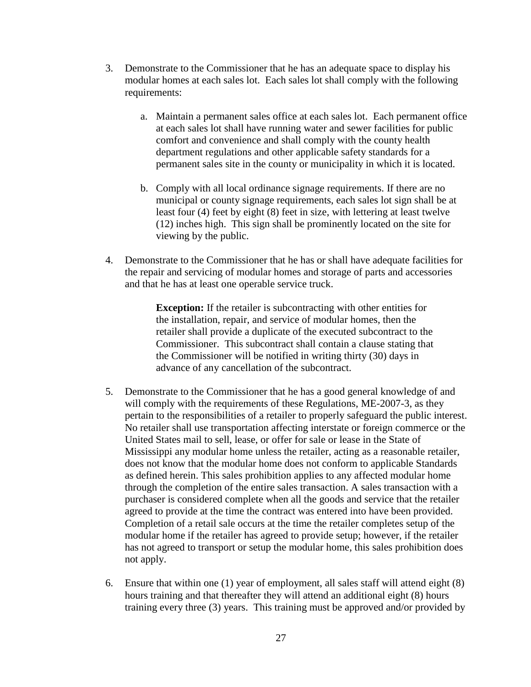- 3. Demonstrate to the Commissioner that he has an adequate space to display his modular homes at each sales lot. Each sales lot shall comply with the following requirements:
	- a. Maintain a permanent sales office at each sales lot. Each permanent office at each sales lot shall have running water and sewer facilities for public comfort and convenience and shall comply with the county health department regulations and other applicable safety standards for a permanent sales site in the county or municipality in which it is located.
	- b. Comply with all local ordinance signage requirements. If there are no municipal or county signage requirements, each sales lot sign shall be at least four (4) feet by eight (8) feet in size, with lettering at least twelve (12) inches high. This sign shall be prominently located on the site for viewing by the public.
- 4. Demonstrate to the Commissioner that he has or shall have adequate facilities for the repair and servicing of modular homes and storage of parts and accessories and that he has at least one operable service truck.

**Exception:** If the retailer is subcontracting with other entities for the installation, repair, and service of modular homes, then the retailer shall provide a duplicate of the executed subcontract to the Commissioner. This subcontract shall contain a clause stating that the Commissioner will be notified in writing thirty (30) days in advance of any cancellation of the subcontract.

- 5. Demonstrate to the Commissioner that he has a good general knowledge of and will comply with the requirements of these Regulations, ME-2007-3, as they pertain to the responsibilities of a retailer to properly safeguard the public interest. No retailer shall use transportation affecting interstate or foreign commerce or the United States mail to sell, lease, or offer for sale or lease in the State of Mississippi any modular home unless the retailer, acting as a reasonable retailer, does not know that the modular home does not conform to applicable Standards as defined herein. This sales prohibition applies to any affected modular home through the completion of the entire sales transaction. A sales transaction with a purchaser is considered complete when all the goods and service that the retailer agreed to provide at the time the contract was entered into have been provided. Completion of a retail sale occurs at the time the retailer completes setup of the modular home if the retailer has agreed to provide setup; however, if the retailer has not agreed to transport or setup the modular home, this sales prohibition does not apply.
- 6. Ensure that within one (1) year of employment, all sales staff will attend eight (8) hours training and that thereafter they will attend an additional eight (8) hours training every three (3) years. This training must be approved and/or provided by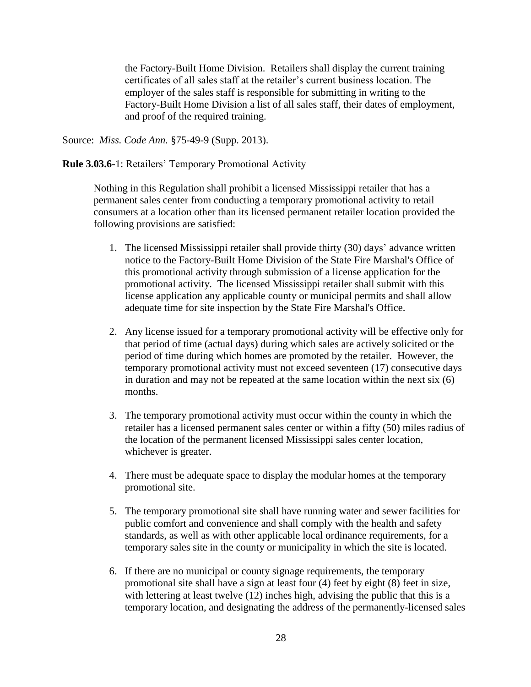the Factory-Built Home Division. Retailers shall display the current training certificates of all sales staff at the retailer's current business location. The employer of the sales staff is responsible for submitting in writing to the Factory-Built Home Division a list of all sales staff, their dates of employment, and proof of the required training.

Source: *Miss. Code Ann.* §75-49-9 (Supp. 2013).

**Rule 3.03.6**-1: Retailers' Temporary Promotional Activity

Nothing in this Regulation shall prohibit a licensed Mississippi retailer that has a permanent sales center from conducting a temporary promotional activity to retail consumers at a location other than its licensed permanent retailer location provided the following provisions are satisfied:

- 1. The licensed Mississippi retailer shall provide thirty (30) days' advance written notice to the Factory-Built Home Division of the State Fire Marshal's Office of this promotional activity through submission of a license application for the promotional activity. The licensed Mississippi retailer shall submit with this license application any applicable county or municipal permits and shall allow adequate time for site inspection by the State Fire Marshal's Office.
- 2. Any license issued for a temporary promotional activity will be effective only for that period of time (actual days) during which sales are actively solicited or the period of time during which homes are promoted by the retailer. However, the temporary promotional activity must not exceed seventeen (17) consecutive days in duration and may not be repeated at the same location within the next six (6) months.
- 3. The temporary promotional activity must occur within the county in which the retailer has a licensed permanent sales center or within a fifty (50) miles radius of the location of the permanent licensed Mississippi sales center location, whichever is greater.
- 4. There must be adequate space to display the modular homes at the temporary promotional site.
- 5. The temporary promotional site shall have running water and sewer facilities for public comfort and convenience and shall comply with the health and safety standards, as well as with other applicable local ordinance requirements, for a temporary sales site in the county or municipality in which the site is located.
- 6. If there are no municipal or county signage requirements, the temporary promotional site shall have a sign at least four (4) feet by eight (8) feet in size, with lettering at least twelve (12) inches high, advising the public that this is a temporary location, and designating the address of the permanently-licensed sales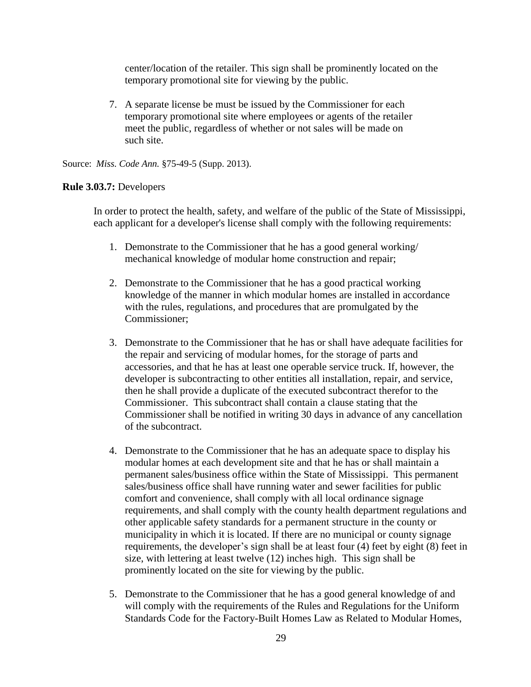center/location of the retailer. This sign shall be prominently located on the temporary promotional site for viewing by the public.

7. A separate license be must be issued by the Commissioner for each temporary promotional site where employees or agents of the retailer meet the public, regardless of whether or not sales will be made on such site.

Source: *Miss. Code Ann.* §75-49-5 (Supp. 2013).

### **Rule 3.03.7:** Developers

In order to protect the health, safety, and welfare of the public of the State of Mississippi, each applicant for a developer's license shall comply with the following requirements:

- 1. Demonstrate to the Commissioner that he has a good general working/ mechanical knowledge of modular home construction and repair;
- 2. Demonstrate to the Commissioner that he has a good practical working knowledge of the manner in which modular homes are installed in accordance with the rules, regulations, and procedures that are promulgated by the Commissioner;
- 3. Demonstrate to the Commissioner that he has or shall have adequate facilities for the repair and servicing of modular homes, for the storage of parts and accessories, and that he has at least one operable service truck. If, however, the developer is subcontracting to other entities all installation, repair, and service, then he shall provide a duplicate of the executed subcontract therefor to the Commissioner. This subcontract shall contain a clause stating that the Commissioner shall be notified in writing 30 days in advance of any cancellation of the subcontract.
- 4. Demonstrate to the Commissioner that he has an adequate space to display his modular homes at each development site and that he has or shall maintain a permanent sales/business office within the State of Mississippi. This permanent sales/business office shall have running water and sewer facilities for public comfort and convenience, shall comply with all local ordinance signage requirements, and shall comply with the county health department regulations and other applicable safety standards for a permanent structure in the county or municipality in which it is located. If there are no municipal or county signage requirements, the developer's sign shall be at least four (4) feet by eight (8) feet in size, with lettering at least twelve (12) inches high. This sign shall be prominently located on the site for viewing by the public.
- 5. Demonstrate to the Commissioner that he has a good general knowledge of and will comply with the requirements of the Rules and Regulations for the Uniform Standards Code for the Factory-Built Homes Law as Related to Modular Homes,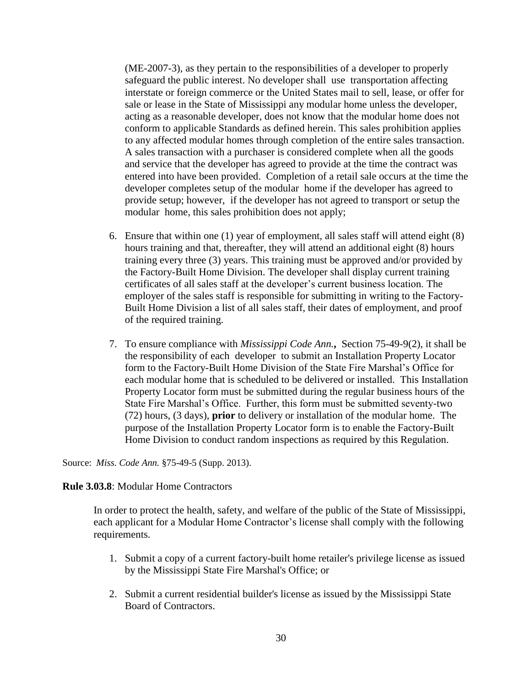(ME-2007-3), as they pertain to the responsibilities of a developer to properly safeguard the public interest. No developer shall use transportation affecting interstate or foreign commerce or the United States mail to sell, lease, or offer for sale or lease in the State of Mississippi any modular home unless the developer, acting as a reasonable developer, does not know that the modular home does not conform to applicable Standards as defined herein. This sales prohibition applies to any affected modular homes through completion of the entire sales transaction. A sales transaction with a purchaser is considered complete when all the goods and service that the developer has agreed to provide at the time the contract was entered into have been provided. Completion of a retail sale occurs at the time the developer completes setup of the modular home if the developer has agreed to provide setup; however, if the developer has not agreed to transport or setup the modular home, this sales prohibition does not apply;

- 6. Ensure that within one (1) year of employment, all sales staff will attend eight (8) hours training and that, thereafter, they will attend an additional eight (8) hours training every three (3) years. This training must be approved and/or provided by the Factory-Built Home Division. The developer shall display current training certificates of all sales staff at the developer's current business location. The employer of the sales staff is responsible for submitting in writing to the Factory-Built Home Division a list of all sales staff, their dates of employment, and proof of the required training.
- 7. To ensure compliance with *Mississippi Code Ann.***,** Section 75-49-9(2), it shall be the responsibility of each developer to submit an Installation Property Locator form to the Factory-Built Home Division of the State Fire Marshal's Office for each modular home that is scheduled to be delivered or installed. This Installation Property Locator form must be submitted during the regular business hours of the State Fire Marshal's Office. Further, this form must be submitted seventy-two (72) hours, (3 days), **prior** to delivery or installation of the modular home. The purpose of the Installation Property Locator form is to enable the Factory-Built Home Division to conduct random inspections as required by this Regulation.

Source: *Miss. Code Ann.* §75-49-5 (Supp. 2013).

### **Rule 3.03.8**: Modular Home Contractors

In order to protect the health, safety, and welfare of the public of the State of Mississippi, each applicant for a Modular Home Contractor's license shall comply with the following requirements.

- 1. Submit a copy of a current factory-built home retailer's privilege license as issued by the Mississippi State Fire Marshal's Office; or
- 2. Submit a current residential builder's license as issued by the Mississippi State Board of Contractors.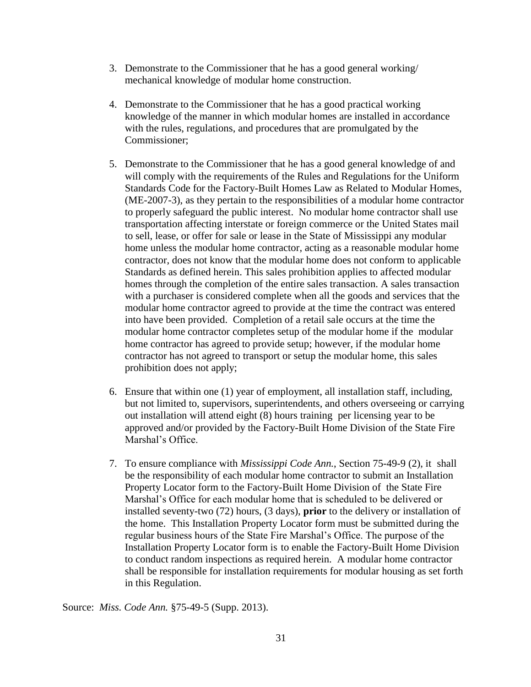- 3. Demonstrate to the Commissioner that he has a good general working/ mechanical knowledge of modular home construction.
- 4. Demonstrate to the Commissioner that he has a good practical working knowledge of the manner in which modular homes are installed in accordance with the rules, regulations, and procedures that are promulgated by the Commissioner;
- 5. Demonstrate to the Commissioner that he has a good general knowledge of and will comply with the requirements of the Rules and Regulations for the Uniform Standards Code for the Factory-Built Homes Law as Related to Modular Homes, (ME-2007-3), as they pertain to the responsibilities of a modular home contractor to properly safeguard the public interest. No modular home contractor shall use transportation affecting interstate or foreign commerce or the United States mail to sell, lease, or offer for sale or lease in the State of Mississippi any modular home unless the modular home contractor, acting as a reasonable modular home contractor, does not know that the modular home does not conform to applicable Standards as defined herein. This sales prohibition applies to affected modular homes through the completion of the entire sales transaction. A sales transaction with a purchaser is considered complete when all the goods and services that the modular home contractor agreed to provide at the time the contract was entered into have been provided. Completion of a retail sale occurs at the time the modular home contractor completes setup of the modular home if the modular home contractor has agreed to provide setup; however, if the modular home contractor has not agreed to transport or setup the modular home, this sales prohibition does not apply;
- 6. Ensure that within one (1) year of employment, all installation staff, including, but not limited to, supervisors, superintendents, and others overseeing or carrying out installation will attend eight (8) hours training per licensing year to be approved and/or provided by the Factory-Built Home Division of the State Fire Marshal's Office.
- 7. To ensure compliance with *Mississippi Code Ann.*, Section 75-49-9 (2), it shall be the responsibility of each modular home contractor to submit an Installation Property Locator form to the Factory-Built Home Division of the State Fire Marshal's Office for each modular home that is scheduled to be delivered or installed seventy-two (72) hours, (3 days), **prior** to the delivery or installation of the home. This Installation Property Locator form must be submitted during the regular business hours of the State Fire Marshal's Office. The purpose of the Installation Property Locator form is to enable the Factory-Built Home Division to conduct random inspections as required herein. A modular home contractor shall be responsible for installation requirements for modular housing as set forth in this Regulation.

Source: *Miss. Code Ann.* §75-49-5 (Supp. 2013).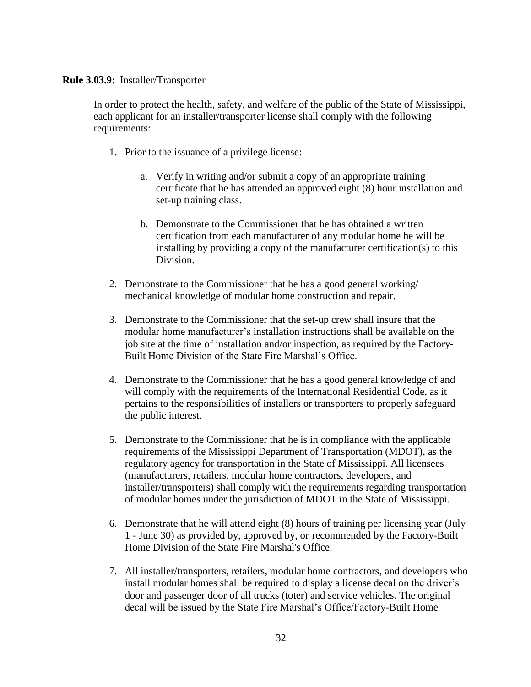#### **Rule 3.03.9**: Installer/Transporter

In order to protect the health, safety, and welfare of the public of the State of Mississippi, each applicant for an installer/transporter license shall comply with the following requirements:

- 1. Prior to the issuance of a privilege license:
	- a. Verify in writing and/or submit a copy of an appropriate training certificate that he has attended an approved eight (8) hour installation and set-up training class.
	- b. Demonstrate to the Commissioner that he has obtained a written certification from each manufacturer of any modular home he will be installing by providing a copy of the manufacturer certification(s) to this Division.
- 2. Demonstrate to the Commissioner that he has a good general working/ mechanical knowledge of modular home construction and repair.
- 3. Demonstrate to the Commissioner that the set-up crew shall insure that the modular home manufacturer's installation instructions shall be available on the job site at the time of installation and/or inspection, as required by the Factory-Built Home Division of the State Fire Marshal's Office.
- 4. Demonstrate to the Commissioner that he has a good general knowledge of and will comply with the requirements of the International Residential Code, as it pertains to the responsibilities of installers or transporters to properly safeguard the public interest.
- 5. Demonstrate to the Commissioner that he is in compliance with the applicable requirements of the Mississippi Department of Transportation (MDOT), as the regulatory agency for transportation in the State of Mississippi. All licensees (manufacturers, retailers, modular home contractors, developers, and installer/transporters) shall comply with the requirements regarding transportation of modular homes under the jurisdiction of MDOT in the State of Mississippi.
- 6. Demonstrate that he will attend eight (8) hours of training per licensing year (July 1 - June 30) as provided by, approved by, or recommended by the Factory-Built Home Division of the State Fire Marshal's Office.
- 7. All installer/transporters, retailers, modular home contractors, and developers who install modular homes shall be required to display a license decal on the driver's door and passenger door of all trucks (toter) and service vehicles. The original decal will be issued by the State Fire Marshal's Office/Factory-Built Home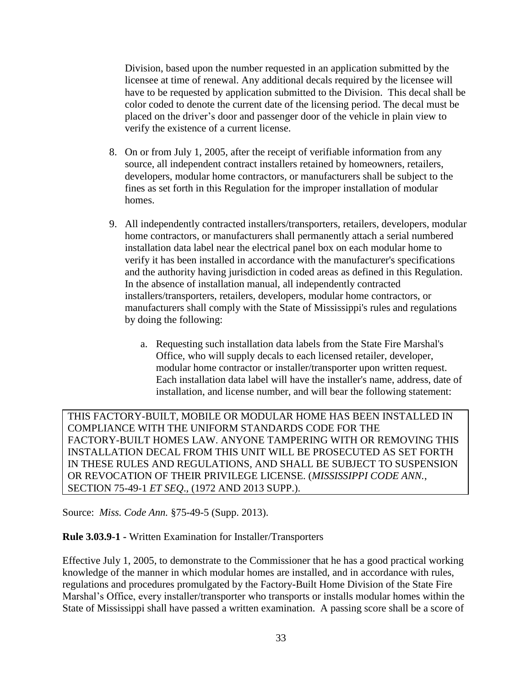Division, based upon the number requested in an application submitted by the licensee at time of renewal. Any additional decals required by the licensee will have to be requested by application submitted to the Division. This decal shall be color coded to denote the current date of the licensing period. The decal must be placed on the driver's door and passenger door of the vehicle in plain view to verify the existence of a current license.

- 8. On or from July 1, 2005, after the receipt of verifiable information from any source, all independent contract installers retained by homeowners, retailers, developers, modular home contractors, or manufacturers shall be subject to the fines as set forth in this Regulation for the improper installation of modular homes.
- 9. All independently contracted installers/transporters, retailers, developers, modular home contractors, or manufacturers shall permanently attach a serial numbered installation data label near the electrical panel box on each modular home to verify it has been installed in accordance with the manufacturer's specifications and the authority having jurisdiction in coded areas as defined in this Regulation. In the absence of installation manual, all independently contracted installers/transporters, retailers, developers, modular home contractors, or manufacturers shall comply with the State of Mississippi's rules and regulations by doing the following:
	- a. Requesting such installation data labels from the State Fire Marshal's Office, who will supply decals to each licensed retailer, developer, modular home contractor or installer/transporter upon written request. Each installation data label will have the installer's name, address, date of installation, and license number, and will bear the following statement:

THIS FACTORY-BUILT, MOBILE OR MODULAR HOME HAS BEEN INSTALLED IN COMPLIANCE WITH THE UNIFORM STANDARDS CODE FOR THE FACTORY-BUILT HOMES LAW. ANYONE TAMPERING WITH OR REMOVING THIS INSTALLATION DECAL FROM THIS UNIT WILL BE PROSECUTED AS SET FORTH IN THESE RULES AND REGULATIONS, AND SHALL BE SUBJECT TO SUSPENSION OR REVOCATION OF THEIR PRIVILEGE LICENSE. (*MISSISSIPPI CODE ANN.*, SECTION 75-49-1 *ET SEQ*., (1972 AND 2013 SUPP.).

Source: *Miss. Code Ann.* §75-49-5 (Supp. 2013).

# **Rule 3.03.9-1 -** Written Examination for Installer/Transporters

Effective July 1, 2005, to demonstrate to the Commissioner that he has a good practical working knowledge of the manner in which modular homes are installed, and in accordance with rules, regulations and procedures promulgated by the Factory-Built Home Division of the State Fire Marshal's Office, every installer/transporter who transports or installs modular homes within the State of Mississippi shall have passed a written examination. A passing score shall be a score of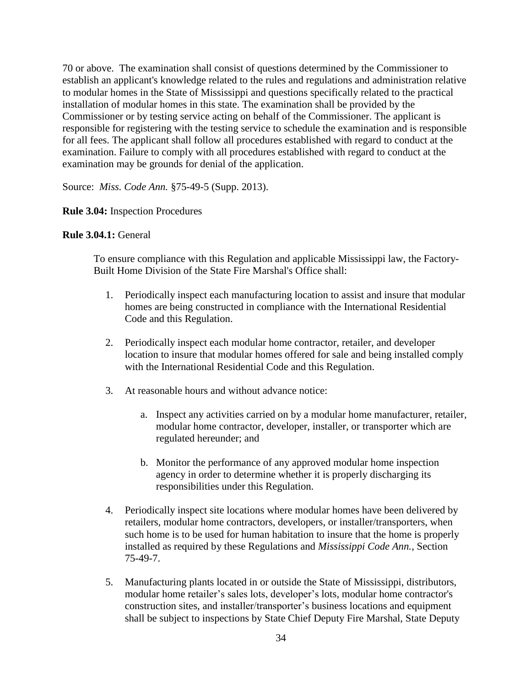70 or above. The examination shall consist of questions determined by the Commissioner to establish an applicant's knowledge related to the rules and regulations and administration relative to modular homes in the State of Mississippi and questions specifically related to the practical installation of modular homes in this state. The examination shall be provided by the Commissioner or by testing service acting on behalf of the Commissioner. The applicant is responsible for registering with the testing service to schedule the examination and is responsible for all fees. The applicant shall follow all procedures established with regard to conduct at the examination. Failure to comply with all procedures established with regard to conduct at the examination may be grounds for denial of the application.

Source: *Miss. Code Ann.* §75-49-5 (Supp. 2013).

### **Rule 3.04:** Inspection Procedures

### **Rule 3.04.1:** General

To ensure compliance with this Regulation and applicable Mississippi law, the Factory-Built Home Division of the State Fire Marshal's Office shall:

- 1. Periodically inspect each manufacturing location to assist and insure that modular homes are being constructed in compliance with the International Residential Code and this Regulation.
- 2. Periodically inspect each modular home contractor, retailer, and developer location to insure that modular homes offered for sale and being installed comply with the International Residential Code and this Regulation.
- 3. At reasonable hours and without advance notice:
	- a. Inspect any activities carried on by a modular home manufacturer, retailer, modular home contractor, developer, installer, or transporter which are regulated hereunder; and
	- b. Monitor the performance of any approved modular home inspection agency in order to determine whether it is properly discharging its responsibilities under this Regulation.
- 4. Periodically inspect site locations where modular homes have been delivered by retailers, modular home contractors, developers, or installer/transporters, when such home is to be used for human habitation to insure that the home is properly installed as required by these Regulations and *Mississippi Code Ann.*, Section 75-49-7.
- 5. Manufacturing plants located in or outside the State of Mississippi, distributors, modular home retailer's sales lots, developer's lots, modular home contractor's construction sites, and installer/transporter's business locations and equipment shall be subject to inspections by State Chief Deputy Fire Marshal, State Deputy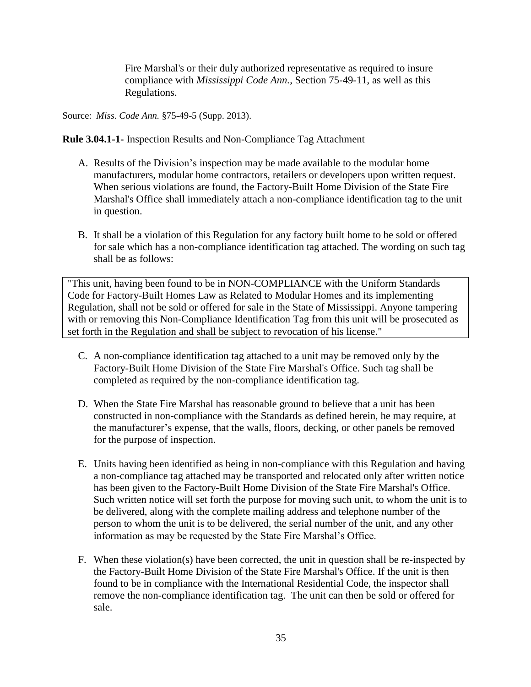Fire Marshal's or their duly authorized representative as required to insure compliance with *Mississippi Code Ann.*, Section 75-49-11, as well as this Regulations.

Source: *Miss. Code Ann.* §75-49-5 (Supp. 2013).

**Rule 3.04.1-1-** Inspection Results and Non-Compliance Tag Attachment

- A. Results of the Division's inspection may be made available to the modular home manufacturers, modular home contractors, retailers or developers upon written request. When serious violations are found, the Factory-Built Home Division of the State Fire Marshal's Office shall immediately attach a non-compliance identification tag to the unit in question.
- B. It shall be a violation of this Regulation for any factory built home to be sold or offered for sale which has a non-compliance identification tag attached. The wording on such tag shall be as follows:

"This unit, having been found to be in NON-COMPLIANCE with the Uniform Standards Code for Factory-Built Homes Law as Related to Modular Homes and its implementing Regulation, shall not be sold or offered for sale in the State of Mississippi. Anyone tampering with or removing this Non-Compliance Identification Tag from this unit will be prosecuted as set forth in the Regulation and shall be subject to revocation of his license."

- C. A non-compliance identification tag attached to a unit may be removed only by the Factory-Built Home Division of the State Fire Marshal's Office. Such tag shall be completed as required by the non-compliance identification tag.
- D. When the State Fire Marshal has reasonable ground to believe that a unit has been constructed in non-compliance with the Standards as defined herein, he may require, at the manufacturer's expense, that the walls, floors, decking, or other panels be removed for the purpose of inspection.
- E. Units having been identified as being in non-compliance with this Regulation and having a non-compliance tag attached may be transported and relocated only after written notice has been given to the Factory-Built Home Division of the State Fire Marshal's Office. Such written notice will set forth the purpose for moving such unit, to whom the unit is to be delivered, along with the complete mailing address and telephone number of the person to whom the unit is to be delivered, the serial number of the unit, and any other information as may be requested by the State Fire Marshal's Office.
- F. When these violation(s) have been corrected, the unit in question shall be re-inspected by the Factory-Built Home Division of the State Fire Marshal's Office. If the unit is then found to be in compliance with the International Residential Code, the inspector shall remove the non-compliance identification tag. The unit can then be sold or offered for sale.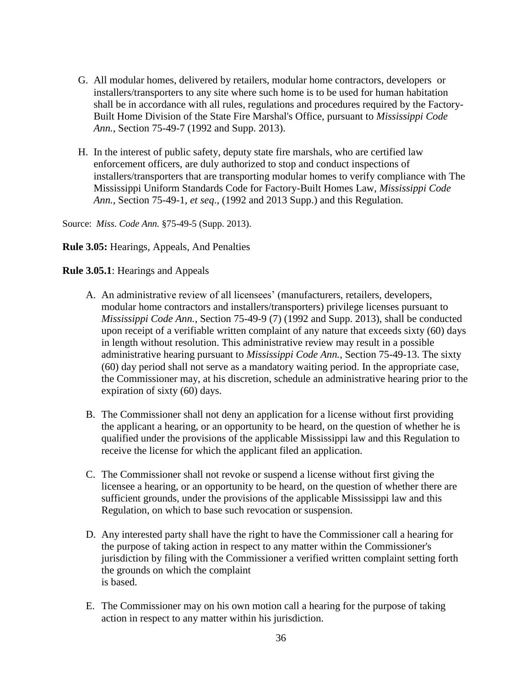- G. All modular homes, delivered by retailers, modular home contractors, developers or installers/transporters to any site where such home is to be used for human habitation shall be in accordance with all rules, regulations and procedures required by the Factory-Built Home Division of the State Fire Marshal's Office, pursuant to *Mississippi Code Ann.*, Section 75-49-7 (1992 and Supp. 2013).
- H. In the interest of public safety, deputy state fire marshals, who are certified law enforcement officers, are duly authorized to stop and conduct inspections of installers/transporters that are transporting modular homes to verify compliance with The Mississippi Uniform Standards Code for Factory-Built Homes Law, *Mississippi Code Ann.*, Section 75-49-1, *et seq*.*,* (1992 and 2013 Supp.) and this Regulation.

Source: *Miss. Code Ann.* §75-49-5 (Supp. 2013).

**Rule 3.05:** Hearings, Appeals, And Penalties

#### **Rule 3.05.1**: Hearings and Appeals

- A. An administrative review of all licensees' (manufacturers, retailers, developers, modular home contractors and installers/transporters) privilege licenses pursuant to *Mississippi Code Ann.*, Section 75-49-9 (7) (1992 and Supp. 2013), shall be conducted upon receipt of a verifiable written complaint of any nature that exceeds sixty (60) days in length without resolution. This administrative review may result in a possible administrative hearing pursuant to *Mississippi Code Ann.*, Section 75-49-13. The sixty (60) day period shall not serve as a mandatory waiting period. In the appropriate case, the Commissioner may, at his discretion, schedule an administrative hearing prior to the expiration of sixty (60) days.
- B. The Commissioner shall not deny an application for a license without first providing the applicant a hearing, or an opportunity to be heard, on the question of whether he is qualified under the provisions of the applicable Mississippi law and this Regulation to receive the license for which the applicant filed an application.
- C. The Commissioner shall not revoke or suspend a license without first giving the licensee a hearing, or an opportunity to be heard, on the question of whether there are sufficient grounds, under the provisions of the applicable Mississippi law and this Regulation, on which to base such revocation or suspension.
- D. Any interested party shall have the right to have the Commissioner call a hearing for the purpose of taking action in respect to any matter within the Commissioner's jurisdiction by filing with the Commissioner a verified written complaint setting forth the grounds on which the complaint is based.
- E. The Commissioner may on his own motion call a hearing for the purpose of taking action in respect to any matter within his jurisdiction.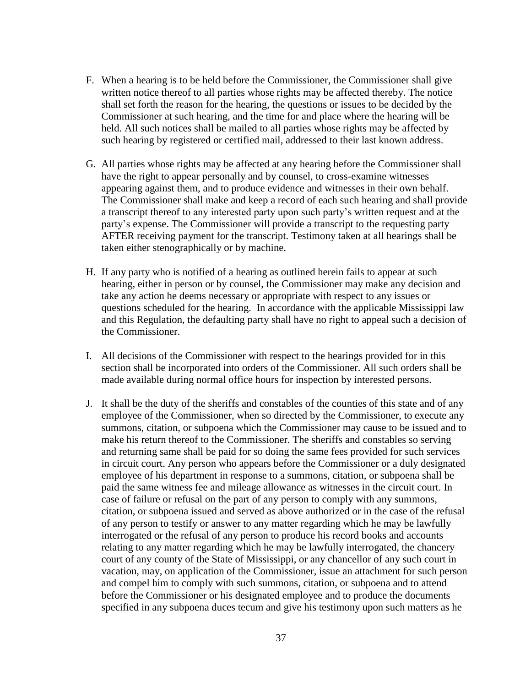- F. When a hearing is to be held before the Commissioner, the Commissioner shall give written notice thereof to all parties whose rights may be affected thereby. The notice shall set forth the reason for the hearing, the questions or issues to be decided by the Commissioner at such hearing, and the time for and place where the hearing will be held. All such notices shall be mailed to all parties whose rights may be affected by such hearing by registered or certified mail, addressed to their last known address.
- G. All parties whose rights may be affected at any hearing before the Commissioner shall have the right to appear personally and by counsel, to cross-examine witnesses appearing against them, and to produce evidence and witnesses in their own behalf. The Commissioner shall make and keep a record of each such hearing and shall provide a transcript thereof to any interested party upon such party's written request and at the party's expense. The Commissioner will provide a transcript to the requesting party AFTER receiving payment for the transcript. Testimony taken at all hearings shall be taken either stenographically or by machine.
- H. If any party who is notified of a hearing as outlined herein fails to appear at such hearing, either in person or by counsel, the Commissioner may make any decision and take any action he deems necessary or appropriate with respect to any issues or questions scheduled for the hearing. In accordance with the applicable Mississippi law and this Regulation, the defaulting party shall have no right to appeal such a decision of the Commissioner.
- I. All decisions of the Commissioner with respect to the hearings provided for in this section shall be incorporated into orders of the Commissioner. All such orders shall be made available during normal office hours for inspection by interested persons.
- J. It shall be the duty of the sheriffs and constables of the counties of this state and of any employee of the Commissioner, when so directed by the Commissioner, to execute any summons, citation, or subpoena which the Commissioner may cause to be issued and to make his return thereof to the Commissioner. The sheriffs and constables so serving and returning same shall be paid for so doing the same fees provided for such services in circuit court. Any person who appears before the Commissioner or a duly designated employee of his department in response to a summons, citation, or subpoena shall be paid the same witness fee and mileage allowance as witnesses in the circuit court. In case of failure or refusal on the part of any person to comply with any summons, citation, or subpoena issued and served as above authorized or in the case of the refusal of any person to testify or answer to any matter regarding which he may be lawfully interrogated or the refusal of any person to produce his record books and accounts relating to any matter regarding which he may be lawfully interrogated, the chancery court of any county of the State of Mississippi, or any chancellor of any such court in vacation, may, on application of the Commissioner, issue an attachment for such person and compel him to comply with such summons, citation, or subpoena and to attend before the Commissioner or his designated employee and to produce the documents specified in any subpoena duces tecum and give his testimony upon such matters as he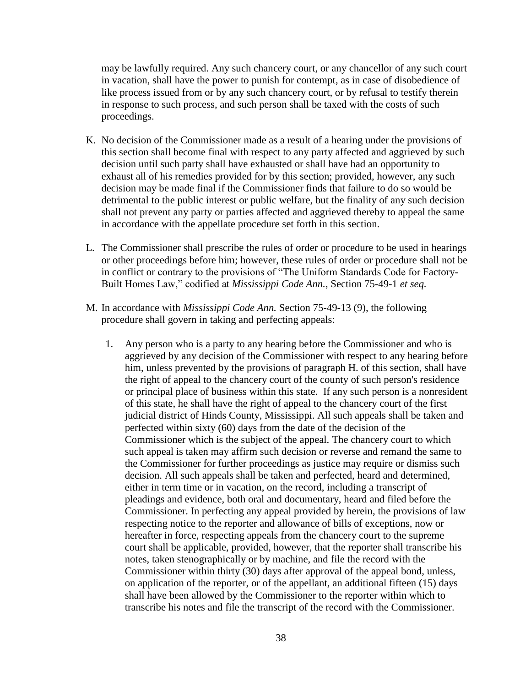may be lawfully required. Any such chancery court, or any chancellor of any such court in vacation, shall have the power to punish for contempt, as in case of disobedience of like process issued from or by any such chancery court, or by refusal to testify therein in response to such process, and such person shall be taxed with the costs of such proceedings.

- K. No decision of the Commissioner made as a result of a hearing under the provisions of this section shall become final with respect to any party affected and aggrieved by such decision until such party shall have exhausted or shall have had an opportunity to exhaust all of his remedies provided for by this section; provided, however, any such decision may be made final if the Commissioner finds that failure to do so would be detrimental to the public interest or public welfare, but the finality of any such decision shall not prevent any party or parties affected and aggrieved thereby to appeal the same in accordance with the appellate procedure set forth in this section.
- L. The Commissioner shall prescribe the rules of order or procedure to be used in hearings or other proceedings before him; however, these rules of order or procedure shall not be in conflict or contrary to the provisions of "The Uniform Standards Code for Factory-Built Homes Law," codified at *Mississippi Code Ann.*, Section 75-49-1 *et seq.*
- M. In accordance with *Mississippi Code Ann.* Section 75-49-13 (9), the following procedure shall govern in taking and perfecting appeals:
	- 1. Any person who is a party to any hearing before the Commissioner and who is aggrieved by any decision of the Commissioner with respect to any hearing before him, unless prevented by the provisions of paragraph H. of this section, shall have the right of appeal to the chancery court of the county of such person's residence or principal place of business within this state. If any such person is a nonresident of this state, he shall have the right of appeal to the chancery court of the first judicial district of Hinds County, Mississippi. All such appeals shall be taken and perfected within sixty (60) days from the date of the decision of the Commissioner which is the subject of the appeal. The chancery court to which such appeal is taken may affirm such decision or reverse and remand the same to the Commissioner for further proceedings as justice may require or dismiss such decision. All such appeals shall be taken and perfected, heard and determined, either in term time or in vacation, on the record, including a transcript of pleadings and evidence, both oral and documentary, heard and filed before the Commissioner. In perfecting any appeal provided by herein, the provisions of law respecting notice to the reporter and allowance of bills of exceptions, now or hereafter in force, respecting appeals from the chancery court to the supreme court shall be applicable, provided, however, that the reporter shall transcribe his notes, taken stenographically or by machine, and file the record with the Commissioner within thirty (30) days after approval of the appeal bond, unless, on application of the reporter, or of the appellant, an additional fifteen (15) days shall have been allowed by the Commissioner to the reporter within which to transcribe his notes and file the transcript of the record with the Commissioner.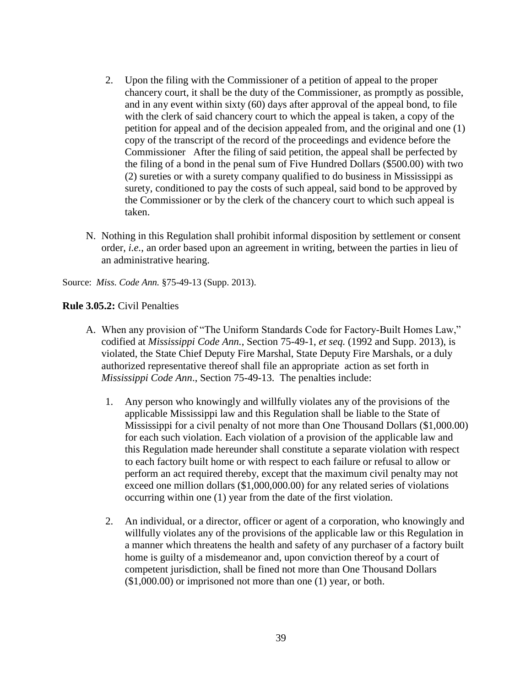- 2. Upon the filing with the Commissioner of a petition of appeal to the proper chancery court, it shall be the duty of the Commissioner, as promptly as possible, and in any event within sixty (60) days after approval of the appeal bond, to file with the clerk of said chancery court to which the appeal is taken, a copy of the petition for appeal and of the decision appealed from, and the original and one (1) copy of the transcript of the record of the proceedings and evidence before the Commissioner After the filing of said petition, the appeal shall be perfected by the filing of a bond in the penal sum of Five Hundred Dollars (\$500.00) with two (2) sureties or with a surety company qualified to do business in Mississippi as surety, conditioned to pay the costs of such appeal, said bond to be approved by the Commissioner or by the clerk of the chancery court to which such appeal is taken.
- N. Nothing in this Regulation shall prohibit informal disposition by settlement or consent order, *i.e.*, an order based upon an agreement in writing, between the parties in lieu of an administrative hearing.

Source: *Miss. Code Ann.* §75-49-13 (Supp. 2013).

# **Rule 3.05.2:** Civil Penalties

- A. When any provision of "The Uniform Standards Code for Factory-Built Homes Law," codified at *Mississippi Code Ann.*, Section 75-49-1, *et seq.* (1992 and Supp. 2013), is violated, the State Chief Deputy Fire Marshal, State Deputy Fire Marshals, or a duly authorized representative thereof shall file an appropriate action as set forth in *Mississippi Code Ann*., Section 75-49-13. The penalties include:
	- 1. Any person who knowingly and willfully violates any of the provisions of the applicable Mississippi law and this Regulation shall be liable to the State of Mississippi for a civil penalty of not more than One Thousand Dollars (\$1,000.00) for each such violation. Each violation of a provision of the applicable law and this Regulation made hereunder shall constitute a separate violation with respect to each factory built home or with respect to each failure or refusal to allow or perform an act required thereby, except that the maximum civil penalty may not exceed one million dollars (\$1,000,000.00) for any related series of violations occurring within one (1) year from the date of the first violation.
	- 2. An individual, or a director, officer or agent of a corporation, who knowingly and willfully violates any of the provisions of the applicable law or this Regulation in a manner which threatens the health and safety of any purchaser of a factory built home is guilty of a misdemeanor and, upon conviction thereof by a court of competent jurisdiction, shall be fined not more than One Thousand Dollars (\$1,000.00) or imprisoned not more than one (1) year, or both.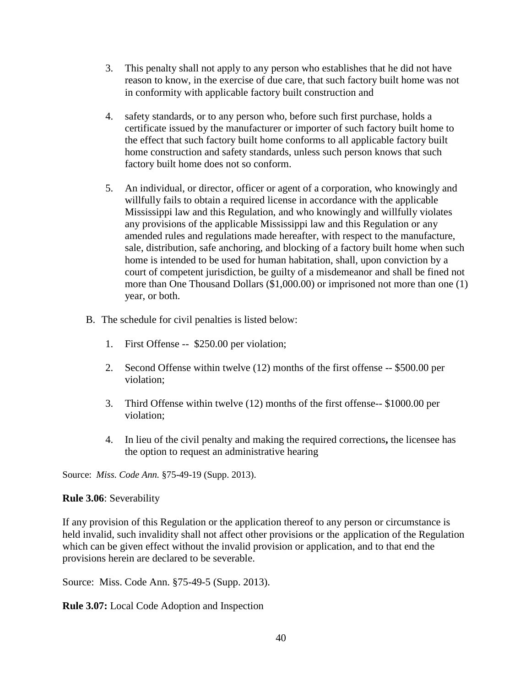- 3. This penalty shall not apply to any person who establishes that he did not have reason to know, in the exercise of due care, that such factory built home was not in conformity with applicable factory built construction and
- 4. safety standards, or to any person who, before such first purchase, holds a certificate issued by the manufacturer or importer of such factory built home to the effect that such factory built home conforms to all applicable factory built home construction and safety standards, unless such person knows that such factory built home does not so conform.
- 5. An individual, or director, officer or agent of a corporation, who knowingly and willfully fails to obtain a required license in accordance with the applicable Mississippi law and this Regulation, and who knowingly and willfully violates any provisions of the applicable Mississippi law and this Regulation or any amended rules and regulations made hereafter, with respect to the manufacture, sale, distribution, safe anchoring, and blocking of a factory built home when such home is intended to be used for human habitation, shall, upon conviction by a court of competent jurisdiction, be guilty of a misdemeanor and shall be fined not more than One Thousand Dollars (\$1,000.00) or imprisoned not more than one (1) year, or both.
- B. The schedule for civil penalties is listed below:
	- 1. First Offense -- \$250.00 per violation;
	- 2. Second Offense within twelve (12) months of the first offense -- \$500.00 per violation;
	- 3. Third Offense within twelve (12) months of the first offense-- \$1000.00 per violation;
	- 4. In lieu of the civil penalty and making the required corrections**,** the licensee has the option to request an administrative hearing

Source: *Miss. Code Ann.* §75-49-19 (Supp. 2013).

# **Rule 3.06**: Severability

If any provision of this Regulation or the application thereof to any person or circumstance is held invalid, such invalidity shall not affect other provisions or the application of the Regulation which can be given effect without the invalid provision or application, and to that end the provisions herein are declared to be severable.

Source: Miss. Code Ann. §75-49-5 (Supp. 2013).

**Rule 3.07:** Local Code Adoption and Inspection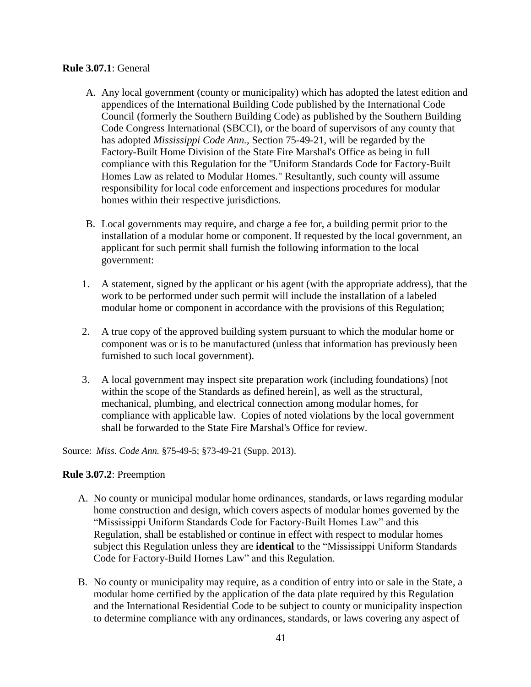### **Rule 3.07.1**: General

- A. Any local government (county or municipality) which has adopted the latest edition and appendices of the International Building Code published by the International Code Council (formerly the Southern Building Code) as published by the Southern Building Code Congress International (SBCCI), or the board of supervisors of any county that has adopted *Mississippi Code Ann.*, Section 75-49-21, will be regarded by the Factory-Built Home Division of the State Fire Marshal's Office as being in full compliance with this Regulation for the "Uniform Standards Code for Factory-Built Homes Law as related to Modular Homes." Resultantly, such county will assume responsibility for local code enforcement and inspections procedures for modular homes within their respective jurisdictions.
- B. Local governments may require, and charge a fee for, a building permit prior to the installation of a modular home or component. If requested by the local government, an applicant for such permit shall furnish the following information to the local government:
- 1. A statement, signed by the applicant or his agent (with the appropriate address), that the work to be performed under such permit will include the installation of a labeled modular home or component in accordance with the provisions of this Regulation;
- 2. A true copy of the approved building system pursuant to which the modular home or component was or is to be manufactured (unless that information has previously been furnished to such local government).
- 3. A local government may inspect site preparation work (including foundations) [not within the scope of the Standards as defined herein], as well as the structural, mechanical, plumbing, and electrical connection among modular homes, for compliance with applicable law. Copies of noted violations by the local government shall be forwarded to the State Fire Marshal's Office for review.

Source: *Miss. Code Ann.* §75-49-5; §73-49-21 (Supp. 2013).

# **Rule 3.07.2**: Preemption

- A. No county or municipal modular home ordinances, standards, or laws regarding modular home construction and design, which covers aspects of modular homes governed by the "Mississippi Uniform Standards Code for Factory-Built Homes Law" and this Regulation, shall be established or continue in effect with respect to modular homes subject this Regulation unless they are **identical** to the "Mississippi Uniform Standards Code for Factory-Build Homes Law" and this Regulation.
- B. No county or municipality may require, as a condition of entry into or sale in the State, a modular home certified by the application of the data plate required by this Regulation and the International Residential Code to be subject to county or municipality inspection to determine compliance with any ordinances, standards, or laws covering any aspect of